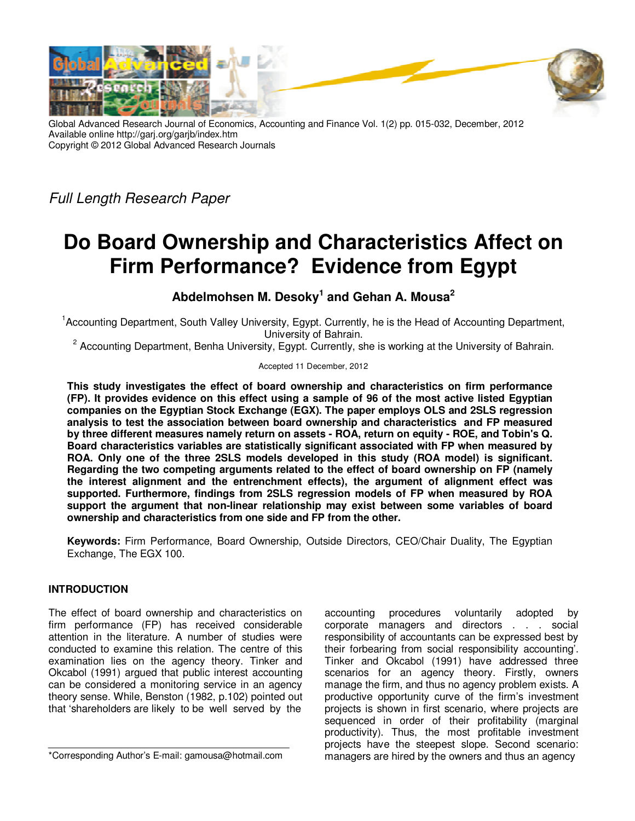

Global Advanced Research Journal of Economics, Accounting and Finance Vol. 1(2) pp. 015-032, December, 2012 Available online http://garj.org/garjb/index.htm Copyright © 2012 Global Advanced Research Journals

Full Length Research Paper

# **Do Board Ownership and Characteristics Affect on Firm Performance? Evidence from Egypt**

**Abdelmohsen M. Desoky<sup>1</sup> and Gehan A. Mousa<sup>2</sup>**

<sup>1</sup>Accounting Department, South Valley University, Egypt. Currently, he is the Head of Accounting Department, University of Bahrain.

<sup>2</sup> Accounting Department, Benha University, Egypt. Currently, she is working at the University of Bahrain.

Accepted 11 December, 2012

**This study investigates the effect of board ownership and characteristics on firm performance (FP). It provides evidence on this effect using a sample of 96 of the most active listed Egyptian companies on the Egyptian Stock Exchange (EGX). The paper employs OLS and 2SLS regression analysis to test the association between board ownership and characteristics and FP measured by three different measures namely return on assets - ROA, return on equity - ROE, and Tobin's Q. Board characteristics variables are statistically significant associated with FP when measured by ROA. Only one of the three 2SLS models developed in this study (ROA model) is significant. Regarding the two competing arguments related to the effect of board ownership on FP (namely the interest alignment and the entrenchment effects), the argument of alignment effect was supported. Furthermore, findings from 2SLS regression models of FP when measured by ROA support the argument that non-linear relationship may exist between some variables of board ownership and characteristics from one side and FP from the other.** 

**Keywords:** Firm Performance, Board Ownership, Outside Directors, CEO/Chair Duality, The Egyptian Exchange, The EGX 100.

# **INTRODUCTION**

The effect of board ownership and characteristics on firm performance (FP) has received considerable attention in the literature. A number of studies were conducted to examine this relation. The centre of this examination lies on the agency theory. Tinker and Okcabol (1991) argued that public interest accounting can be considered a monitoring service in an agency theory sense. While, Benston (1982, p.102) pointed out that 'shareholders are likely to be well served by the

accounting procedures voluntarily adopted by corporate managers and directors . . . social responsibility of accountants can be expressed best by their forbearing from social responsibility accounting'. Tinker and Okcabol (1991) have addressed three scenarios for an agency theory. Firstly, owners manage the firm, and thus no agency problem exists. A productive opportunity curve of the firm's investment projects is shown in first scenario, where projects are sequenced in order of their profitability (marginal productivity). Thus, the most profitable investment projects have the steepest slope. Second scenario: managers are hired by the owners and thus an agency

<sup>\*</sup>Corresponding Author's E-mail: gamousa@hotmail.com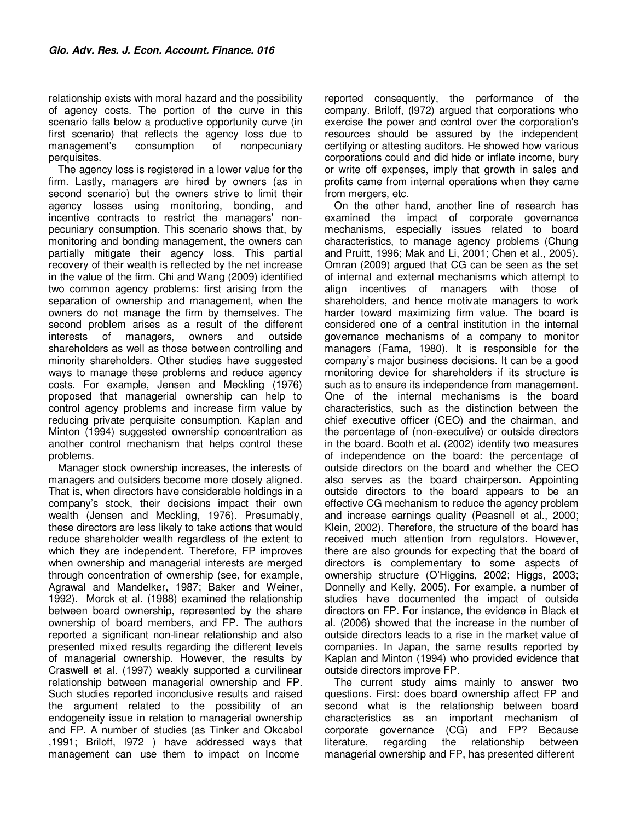relationship exists with moral hazard and the possibility of agency costs. The portion of the curve in this scenario falls below a productive opportunity curve (in first scenario) that reflects the agency loss due to management's consumption of nonpecuniary perquisites.

The agency loss is registered in a lower value for the firm. Lastly, managers are hired by owners (as in second scenario) but the owners strive to limit their agency losses using monitoring, bonding, and incentive contracts to restrict the managers' nonpecuniary consumption. This scenario shows that, by monitoring and bonding management, the owners can partially mitigate their agency loss. This partial recovery of their wealth is reflected by the net increase in the value of the firm. Chi and Wang (2009) identified two common agency problems: first arising from the separation of ownership and management, when the owners do not manage the firm by themselves. The second problem arises as a result of the different interests of managers, owners and outside shareholders as well as those between controlling and minority shareholders. Other studies have suggested ways to manage these problems and reduce agency costs. For example, Jensen and Meckling (1976) proposed that managerial ownership can help to control agency problems and increase firm value by reducing private perquisite consumption. Kaplan and Minton (1994) suggested ownership concentration as another control mechanism that helps control these problems.

Manager stock ownership increases, the interests of managers and outsiders become more closely aligned. That is, when directors have considerable holdings in a company's stock, their decisions impact their own wealth (Jensen and Meckling, 1976). Presumably, these directors are less likely to take actions that would reduce shareholder wealth regardless of the extent to which they are independent. Therefore, FP improves when ownership and managerial interests are merged through concentration of ownership (see, for example, Agrawal and Mandelker, 1987; Baker and Weiner, 1992). Morck et al. (1988) examined the relationship between board ownership, represented by the share ownership of board members, and FP. The authors reported a significant non-linear relationship and also presented mixed results regarding the different levels of managerial ownership. However, the results by Craswell et al. (1997) weakly supported a curvilinear relationship between managerial ownership and FP. Such studies reported inconclusive results and raised the argument related to the possibility of an endogeneity issue in relation to managerial ownership and FP. A number of studies (as Tinker and Okcabol ,1991; Briloff, l972 ) have addressed ways that management can use them to impact on Income

reported consequently, the performance of the company. Briloff, (l972) argued that corporations who exercise the power and control over the corporation's resources should be assured by the independent certifying or attesting auditors. He showed how various corporations could and did hide or inflate income, bury or write off expenses, imply that growth in sales and profits came from internal operations when they came from mergers, etc.

On the other hand, another line of research has examined the impact of corporate governance mechanisms, especially issues related to board characteristics, to manage agency problems (Chung and Pruitt, 1996; Mak and Li, 2001; Chen et al., 2005). Omran (2009) argued that CG can be seen as the set of internal and external mechanisms which attempt to align incentives of managers with those of shareholders, and hence motivate managers to work harder toward maximizing firm value. The board is considered one of a central institution in the internal governance mechanisms of a company to monitor managers (Fama, 1980). It is responsible for the company's major business decisions. It can be a good monitoring device for shareholders if its structure is such as to ensure its independence from management. One of the internal mechanisms is the board characteristics, such as the distinction between the chief executive officer (CEO) and the chairman, and the percentage of (non-executive) or outside directors in the board. Booth et al. (2002) identify two measures of independence on the board: the percentage of outside directors on the board and whether the CEO also serves as the board chairperson. Appointing outside directors to the board appears to be an effective CG mechanism to reduce the agency problem and increase earnings quality (Peasnell et al., 2000; Klein, 2002). Therefore, the structure of the board has received much attention from regulators. However, there are also grounds for expecting that the board of directors is complementary to some aspects of ownership structure (O'Higgins, 2002; Higgs, 2003; Donnelly and Kelly, 2005). For example, a number of studies have documented the impact of outside directors on FP. For instance, the evidence in Black et al. (2006) showed that the increase in the number of outside directors leads to a rise in the market value of companies. In Japan, the same results reported by Kaplan and Minton (1994) who provided evidence that outside directors improve FP.

The current study aims mainly to answer two questions. First: does board ownership affect FP and second what is the relationship between board characteristics as an important mechanism of corporate governance (CG) and FP? Because literature, regarding the relationship between managerial ownership and FP, has presented different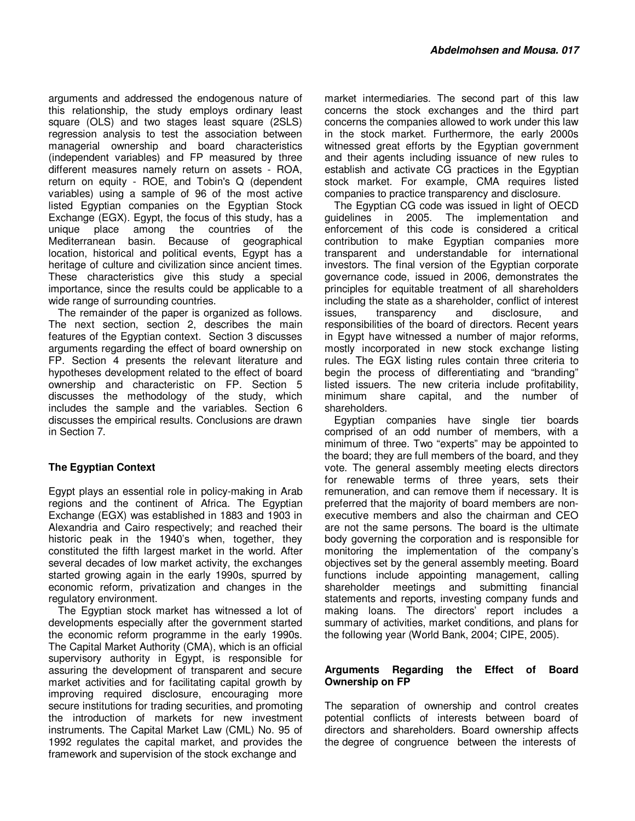arguments and addressed the endogenous nature of this relationship, the study employs ordinary least square (OLS) and two stages least square (2SLS) regression analysis to test the association between managerial ownership and board characteristics (independent variables) and FP measured by three different measures namely return on assets - ROA, return on equity - ROE, and Tobin's Q (dependent variables) using a sample of 96 of the most active listed Egyptian companies on the Egyptian Stock Exchange (EGX). Egypt, the focus of this study, has a unique place among the countries of the Mediterranean basin. Because of geographical location, historical and political events, Egypt has a heritage of culture and civilization since ancient times. These characteristics give this study a special importance, since the results could be applicable to a wide range of surrounding countries.

The remainder of the paper is organized as follows. The next section, section 2, describes the main features of the Egyptian context. Section 3 discusses arguments regarding the effect of board ownership on FP. Section 4 presents the relevant literature and hypotheses development related to the effect of board ownership and characteristic on FP. Section 5 discusses the methodology of the study, which includes the sample and the variables. Section 6 discusses the empirical results. Conclusions are drawn in Section 7.

# **The Egyptian Context**

Egypt plays an essential role in policy-making in Arab regions and the continent of Africa. The Egyptian Exchange (EGX) was established in 1883 and 1903 in Alexandria and Cairo respectively; and reached their historic peak in the 1940's when, together, they constituted the fifth largest market in the world. After several decades of low market activity, the exchanges started growing again in the early 1990s, spurred by economic reform, privatization and changes in the regulatory environment.

The Egyptian stock market has witnessed a lot of developments especially after the government started the economic reform programme in the early 1990s. The Capital Market Authority (CMA), which is an official supervisory authority in Egypt, is responsible for assuring the development of transparent and secure market activities and for facilitating capital growth by improving required disclosure, encouraging more secure institutions for trading securities, and promoting the introduction of markets for new investment instruments. The Capital Market Law (CML) No. 95 of 1992 regulates the capital market, and provides the framework and supervision of the stock exchange and

market intermediaries. The second part of this law concerns the stock exchanges and the third part concerns the companies allowed to work under this law in the stock market. Furthermore, the early 2000s witnessed great efforts by the Egyptian government and their agents including issuance of new rules to establish and activate CG practices in the Egyptian stock market. For example, CMA requires listed companies to practice transparency and disclosure.

The Egyptian CG code was issued in light of OECD guidelines in 2005. The implementation and enforcement of this code is considered a critical contribution to make Egyptian companies more transparent and understandable for international investors. The final version of the Egyptian corporate governance code, issued in 2006, demonstrates the principles for equitable treatment of all shareholders including the state as a shareholder, conflict of interest issues, transparency and disclosure, and responsibilities of the board of directors. Recent years in Egypt have witnessed a number of major reforms, mostly incorporated in new stock exchange listing rules. The EGX listing rules contain three criteria to begin the process of differentiating and "branding" listed issuers. The new criteria include profitability, minimum share capital, and the number of shareholders.

Egyptian companies have single tier boards comprised of an odd number of members, with a minimum of three. Two "experts" may be appointed to the board; they are full members of the board, and they vote. The general assembly meeting elects directors for renewable terms of three years, sets their remuneration, and can remove them if necessary. It is preferred that the majority of board members are nonexecutive members and also the chairman and CEO are not the same persons. The board is the ultimate body governing the corporation and is responsible for monitoring the implementation of the company's objectives set by the general assembly meeting. Board functions include appointing management, calling shareholder meetings and submitting financial statements and reports, investing company funds and making loans. The directors' report includes a summary of activities, market conditions, and plans for the following year (World Bank, 2004; CIPE, 2005).

# **Arguments Regarding the Effect of Board Ownership on FP**

The separation of ownership and control creates potential conflicts of interests between board of directors and shareholders. Board ownership affects the degree of congruence between the interests of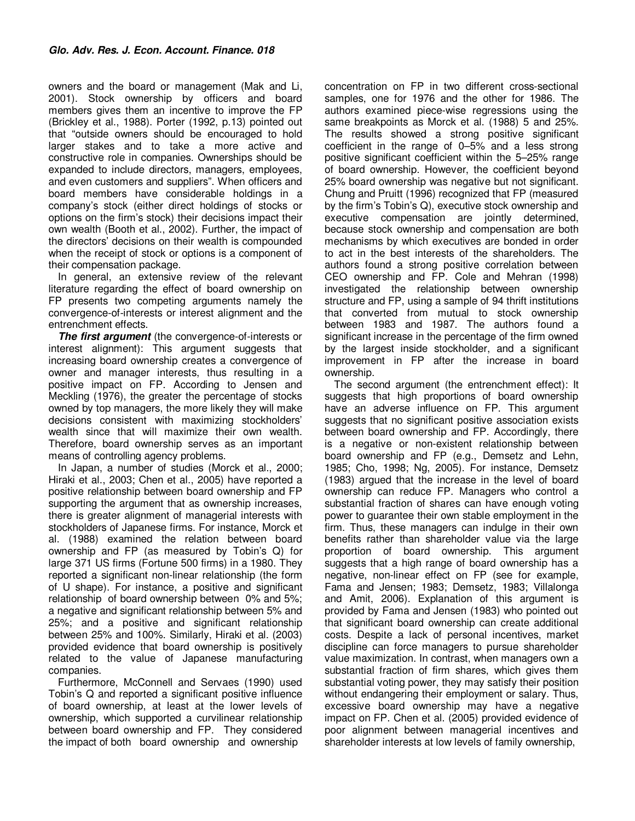owners and the board or management (Mak and Li, 2001). Stock ownership by officers and board members gives them an incentive to improve the FP (Brickley et al., 1988). Porter (1992, p.13) pointed out that "outside owners should be encouraged to hold larger stakes and to take a more active and constructive role in companies. Ownerships should be expanded to include directors, managers, employees, and even customers and suppliers". When officers and board members have considerable holdings in a company's stock (either direct holdings of stocks or options on the firm's stock) their decisions impact their own wealth (Booth et al., 2002). Further, the impact of the directors' decisions on their wealth is compounded when the receipt of stock or options is a component of their compensation package.

In general, an extensive review of the relevant literature regarding the effect of board ownership on FP presents two competing arguments namely the convergence-of-interests or interest alignment and the entrenchment effects.

**The first argument** (the convergence-of-interests or interest alignment): This argument suggests that increasing board ownership creates a convergence of owner and manager interests, thus resulting in a positive impact on FP. According to Jensen and Meckling (1976), the greater the percentage of stocks owned by top managers, the more likely they will make decisions consistent with maximizing stockholders' wealth since that will maximize their own wealth. Therefore, board ownership serves as an important means of controlling agency problems.

In Japan, a number of studies (Morck et al., 2000; Hiraki et al., 2003; Chen et al., 2005) have reported a positive relationship between board ownership and FP supporting the argument that as ownership increases, there is greater alignment of managerial interests with stockholders of Japanese firms. For instance, Morck et al. (1988) examined the relation between board ownership and FP (as measured by Tobin's Q) for large 371 US firms (Fortune 500 firms) in a 1980. They reported a significant non-linear relationship (the form of U shape). For instance, a positive and significant relationship of board ownership between 0% and 5%; a negative and significant relationship between 5% and 25%; and a positive and significant relationship between 25% and 100%. Similarly, Hiraki et al. (2003) provided evidence that board ownership is positively related to the value of Japanese manufacturing companies.

Furthermore, McConnell and Servaes (1990) used Tobin's Q and reported a significant positive influence of board ownership, at least at the lower levels of ownership, which supported a curvilinear relationship between board ownership and FP. They considered the impact of both board ownership and ownership

concentration on FP in two different cross-sectional samples, one for 1976 and the other for 1986. The authors examined piece-wise regressions using the same breakpoints as Morck et al. (1988) 5 and 25%. The results showed a strong positive significant coefficient in the range of 0–5% and a less strong positive significant coefficient within the 5–25% range of board ownership. However, the coefficient beyond 25% board ownership was negative but not significant. Chung and Pruitt (1996) recognized that FP (measured by the firm's Tobin's Q), executive stock ownership and executive compensation are jointly determined, because stock ownership and compensation are both mechanisms by which executives are bonded in order to act in the best interests of the shareholders. The authors found a strong positive correlation between CEO ownership and FP. Cole and Mehran (1998) investigated the relationship between ownership structure and FP, using a sample of 94 thrift institutions that converted from mutual to stock ownership between 1983 and 1987. The authors found a significant increase in the percentage of the firm owned by the largest inside stockholder, and a significant improvement in FP after the increase in board ownership.

The second argument (the entrenchment effect): It suggests that high proportions of board ownership have an adverse influence on FP. This argument suggests that no significant positive association exists between board ownership and FP. Accordingly, there is a negative or non-existent relationship between board ownership and FP (e.g., Demsetz and Lehn, 1985; Cho, 1998; Ng, 2005). For instance, Demsetz (1983) argued that the increase in the level of board ownership can reduce FP. Managers who control a substantial fraction of shares can have enough voting power to guarantee their own stable employment in the firm. Thus, these managers can indulge in their own benefits rather than shareholder value via the large proportion of board ownership. This argument suggests that a high range of board ownership has a negative, non-linear effect on FP (see for example, Fama and Jensen; 1983; Demsetz, 1983; Villalonga and Amit, 2006). Explanation of this argument is provided by Fama and Jensen (1983) who pointed out that significant board ownership can create additional costs. Despite a lack of personal incentives, market discipline can force managers to pursue shareholder value maximization. In contrast, when managers own a substantial fraction of firm shares, which gives them substantial voting power, they may satisfy their position without endangering their employment or salary. Thus, excessive board ownership may have a negative impact on FP. Chen et al. (2005) provided evidence of poor alignment between managerial incentives and shareholder interests at low levels of family ownership,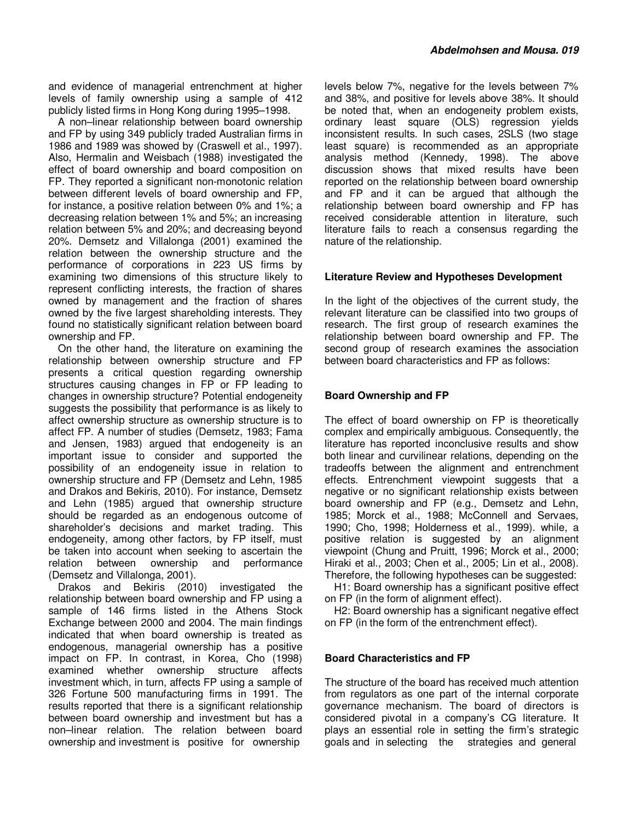and evidence of managerial entrenchment at higher levels of family ownership using a sample of 412 publicly listed firms in Hong Kong during 1995–1998.

A non–linear relationship between board ownership and FP by using 349 publicly traded Australian firms in 1986 and 1989 was showed by (Craswell et al., 1997). Also, Hermalin and Weisbach (1988) investigated the effect of board ownership and board composition on FP. They reported a significant non-monotonic relation between different levels of board ownership and FP, for instance, a positive relation between 0% and 1%; a decreasing relation between 1% and 5%; an increasing relation between 5% and 20%; and decreasing beyond 20%. Demsetz and Villalonga (2001) examined the relation between the ownership structure and the performance of corporations in 223 US firms by examining two dimensions of this structure likely to represent conflicting interests, the fraction of shares owned by management and the fraction of shares owned by the five largest shareholding interests. They found no statistically significant relation between board ownership and FP.

On the other hand, the literature on examining the relationship between ownership structure and FP presents a critical question regarding ownership structures causing changes in FP or FP leading to changes in ownership structure? Potential endogeneity suggests the possibility that performance is as likely to affect ownership structure as ownership structure is to affect FP. A number of studies (Demsetz, 1983; Fama and Jensen, 1983) argued that endogeneity is an important issue to consider and supported the possibility of an endogeneity issue in relation to ownership structure and FP (Demsetz and Lehn, 1985 and Drakos and Bekiris, 2010). For instance, Demsetz and Lehn (1985) argued that ownership structure should be regarded as an endogenous outcome of shareholder's decisions and market trading. This endogeneity, among other factors, by FP itself, must be taken into account when seeking to ascertain the relation between ownership and performance (Demsetz and Villalonga, 2001).

Drakos and Bekiris (2010) investigated the relationship between board ownership and FP using a sample of 146 firms listed in the Athens Stock Exchange between 2000 and 2004. The main findings indicated that when board ownership is treated as endogenous, managerial ownership has a positive impact on FP. In contrast, in Korea, Cho (1998) examined whether ownership structure affects investment which, in turn, affects FP using a sample of 326 Fortune 500 manufacturing firms in 1991. The results reported that there is a significant relationship between board ownership and investment but has a non–linear relation. The relation between board ownership and investment is positive for ownership

levels below 7%, negative for the levels between 7% and 38%, and positive for levels above 38%. It should be noted that, when an endogeneity problem exists, ordinary least square (OLS) regression yields inconsistent results. In such cases, 2SLS (two stage least square) is recommended as an appropriate analysis method (Kennedy, 1998). The above discussion shows that mixed results have been reported on the relationship between board ownership and FP and it can be argued that although the relationship between board ownership and FP has received considerable attention in literature, such literature fails to reach a consensus regarding the nature of the relationship.

# **Literature Review and Hypotheses Development**

In the light of the objectives of the current study, the relevant literature can be classified into two groups of research. The first group of research examines the relationship between board ownership and FP. The second group of research examines the association between board characteristics and FP as follows:

# **Board Ownership and FP**

The effect of board ownership on FP is theoretically complex and empirically ambiguous. Consequently, the literature has reported inconclusive results and show both linear and curvilinear relations, depending on the tradeoffs between the alignment and entrenchment effects. Entrenchment viewpoint suggests that a negative or no significant relationship exists between board ownership and FP (e.g., Demsetz and Lehn, 1985; Morck et al., 1988; McConnell and Servaes, 1990; Cho, 1998; Holderness et al., 1999). while, a positive relation is suggested by an alignment viewpoint (Chung and Pruitt, 1996; Morck et al., 2000; Hiraki et al., 2003; Chen et al., 2005; Lin et al., 2008). Therefore, the following hypotheses can be suggested:

H1: Board ownership has a significant positive effect on FP (in the form of alignment effect).

H2: Board ownership has a significant negative effect on FP (in the form of the entrenchment effect).

#### **Board Characteristics and FP**

The structure of the board has received much attention from regulators as one part of the internal corporate governance mechanism. The board of directors is considered pivotal in a company's CG literature. It plays an essential role in setting the firm's strategic goals and in selecting the strategies and general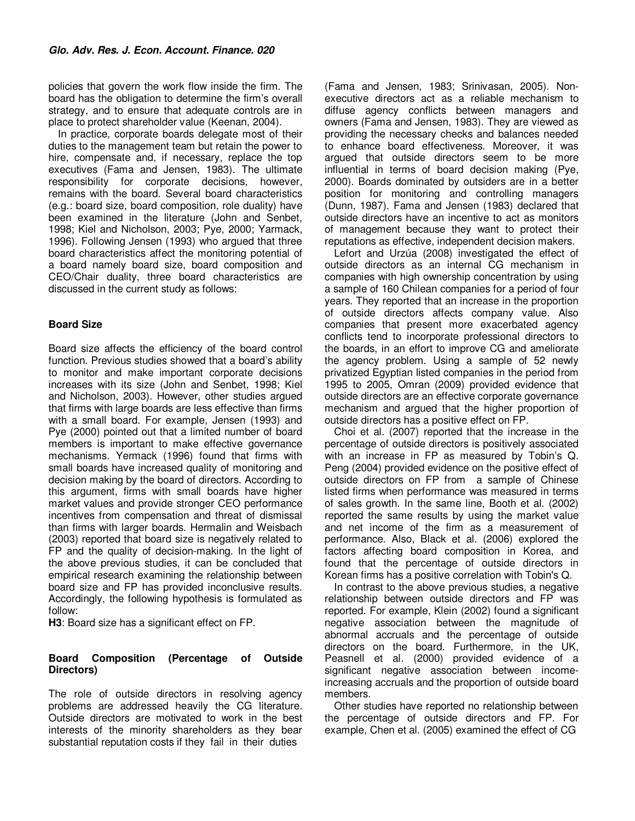policies that govern the work flow inside the firm. The board has the obligation to determine the firm's overall strategy, and to ensure that adequate controls are in place to protect shareholder value (Keenan, 2004).

In practice, corporate boards delegate most of their duties to the management team but retain the power to hire, compensate and, if necessary, replace the top executives (Fama and Jensen, 1983). The ultimate responsibility for corporate decisions, however, remains with the board. Several board characteristics (e.g.: board size, board composition, role duality) have been examined in the literature (John and Senbet, 1998; Kiel and Nicholson, 2003; Pye, 2000; Yarmack, 1996). Following Jensen (1993) who argued that three board characteristics affect the monitoring potential of a board namely board size, board composition and CEO/Chair duality, three board characteristics are discussed in the current study as follows:

# **Board Size**

Board size affects the efficiency of the board control function. Previous studies showed that a board's ability to monitor and make important corporate decisions increases with its size (John and Senbet, 1998; Kiel and Nicholson, 2003). However, other studies argued that firms with large boards are less effective than firms with a small board. For example, Jensen (1993) and Pye (2000) pointed out that a limited number of board members is important to make effective governance mechanisms. Yermack (1996) found that firms with small boards have increased quality of monitoring and decision making by the board of directors. According to this argument, firms with small boards have higher market values and provide stronger CEO performance incentives from compensation and threat of dismissal than firms with larger boards. Hermalin and Weisbach (2003) reported that board size is negatively related to FP and the quality of decision-making. In the light of the above previous studies, it can be concluded that empirical research examining the relationship between board size and FP has provided inconclusive results. Accordingly, the following hypothesis is formulated as follow:

**H3**: Board size has a significant effect on FP.

# **Board Composition (Percentage of Outside Directors)**

The role of outside directors in resolving agency problems are addressed heavily the CG literature. Outside directors are motivated to work in the best interests of the minority shareholders as they bear substantial reputation costs if they fail in their duties

(Fama and Jensen, 1983; Srinivasan, 2005). Nonexecutive directors act as a reliable mechanism to diffuse agency conflicts between managers and owners (Fama and Jensen, 1983). They are viewed as providing the necessary checks and balances needed to enhance board effectiveness. Moreover, it was argued that outside directors seem to be more influential in terms of board decision making (Pye, 2000). Boards dominated by outsiders are in a better position for monitoring and controlling managers (Dunn, 1987). Fama and Jensen (1983) declared that outside directors have an incentive to act as monitors of management because they want to protect their reputations as effective, independent decision makers.

Lefort and Urzúa (2008) investigated the effect of outside directors as an internal CG mechanism in companies with high ownership concentration by using a sample of 160 Chilean companies for a period of four years. They reported that an increase in the proportion of outside directors affects company value. Also companies that present more exacerbated agency conflicts tend to incorporate professional directors to the boards, in an effort to improve CG and ameliorate the agency problem. Using a sample of 52 newly privatized Egyptian listed companies in the period from 1995 to 2005, Omran (2009) provided evidence that outside directors are an effective corporate governance mechanism and argued that the higher proportion of outside directors has a positive effect on FP.

Choi et al. (2007) reported that the increase in the percentage of outside directors is positively associated with an increase in FP as measured by Tobin's Q. Peng (2004) provided evidence on the positive effect of outside directors on FP from a sample of Chinese listed firms when performance was measured in terms of sales growth. In the same line, Booth et al. (2002) reported the same results by using the market value and net income of the firm as a measurement of performance. Also, Black et al. (2006) explored the factors affecting board composition in Korea, and found that the percentage of outside directors in Korean firms has a positive correlation with Tobin's Q.

In contrast to the above previous studies, a negative relationship between outside directors and FP was reported. For example, Klein (2002) found a significant negative association between the magnitude of abnormal accruals and the percentage of outside directors on the board. Furthermore, in the UK, Peasnell et al. (2000) provided evidence of a significant negative association between incomeincreasing accruals and the proportion of outside board members.

Other studies have reported no relationship between the percentage of outside directors and FP. For example, Chen et al. (2005) examined the effect of CG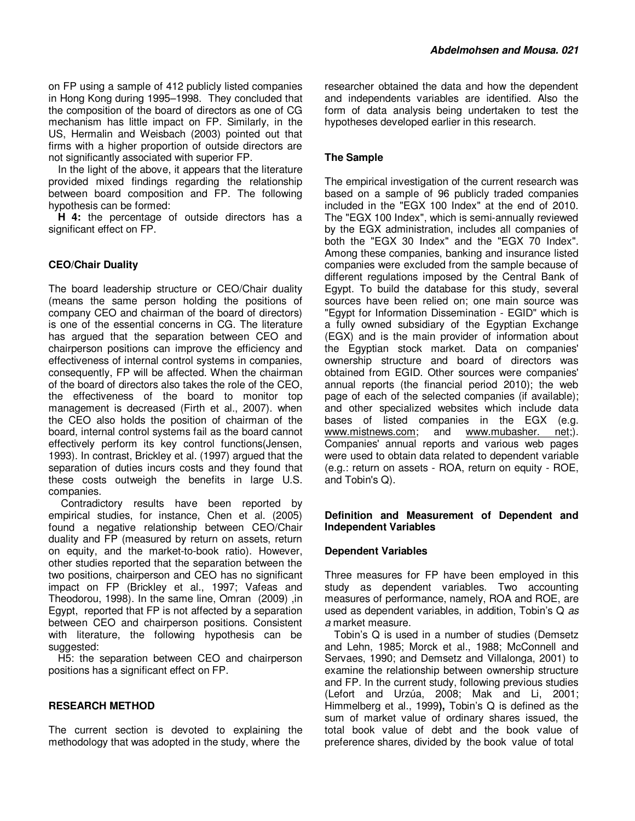on FP using a sample of 412 publicly listed companies in Hong Kong during 1995–1998. They concluded that the composition of the board of directors as one of CG mechanism has little impact on FP. Similarly, in the US, Hermalin and Weisbach (2003) pointed out that firms with a higher proportion of outside directors are not significantly associated with superior FP.

In the light of the above, it appears that the literature provided mixed findings regarding the relationship between board composition and FP. The following hypothesis can be formed:

**H 4:** the percentage of outside directors has a significant effect on FP.

# **CEO/Chair Duality**

The board leadership structure or CEO/Chair duality (means the same person holding the positions of company CEO and chairman of the board of directors) is one of the essential concerns in CG. The literature has argued that the separation between CEO and chairperson positions can improve the efficiency and effectiveness of internal control systems in companies, consequently, FP will be affected. When the chairman of the board of directors also takes the role of the CEO, the effectiveness of the board to monitor top management is decreased (Firth et al., 2007). when the CEO also holds the position of chairman of the board, internal control systems fail as the board cannot effectively perform its key control functions(Jensen, 1993). In contrast, Brickley et al. (1997) argued that the separation of duties incurs costs and they found that these costs outweigh the benefits in large U.S. companies.

 Contradictory results have been reported by empirical studies, for instance, Chen et al. (2005) found a negative relationship between CEO/Chair duality and FP (measured by return on assets, return on equity, and the market-to-book ratio). However, other studies reported that the separation between the two positions, chairperson and CEO has no significant impact on FP (Brickley et al., 1997; Vafeas and Theodorou, 1998). In the same line, Omran (2009) ,in Egypt, reported that FP is not affected by a separation between CEO and chairperson positions. Consistent with literature, the following hypothesis can be suggested:

H5: the separation between CEO and chairperson positions has a significant effect on FP.

#### **RESEARCH METHOD**

The current section is devoted to explaining the methodology that was adopted in the study, where the

researcher obtained the data and how the dependent and independents variables are identified. Also the form of data analysis being undertaken to test the hypotheses developed earlier in this research.

#### **The Sample**

The empirical investigation of the current research was based on a sample of 96 publicly traded companies included in the "EGX 100 Index" at the end of 2010. The "EGX 100 Index", which is semi-annually reviewed by the EGX administration, includes all companies of both the "EGX 30 Index" and the "EGX 70 Index". Among these companies, banking and insurance listed companies were excluded from the sample because of different regulations imposed by the Central Bank of Egypt. To build the database for this study, several sources have been relied on; one main source was "Egypt for Information Dissemination - EGID" which is a fully owned subsidiary of the Egyptian Exchange (EGX) and is the main provider of information about the Egyptian stock market. Data on companies' ownership structure and board of directors was obtained from EGID. Other sources were companies' annual reports (the financial period 2010); the web page of each of the selected companies (if available); and other specialized websites which include data bases of listed companies in the EGX (e.g. www.mistnews.com; and www.mubasher. net;). Companies' annual reports and various web pages were used to obtain data related to dependent variable (e.g.: return on assets - ROA, return on equity - ROE, and Tobin's Q).

#### **Definition and Measurement of Dependent and Independent Variables**

#### **Dependent Variables**

Three measures for FP have been employed in this study as dependent variables. Two accounting measures of performance, namely, ROA and ROE, are used as dependent variables, in addition, Tobin's Q as a market measure.

Tobin's Q is used in a number of studies (Demsetz and Lehn, 1985; Morck et al., 1988; McConnell and Servaes, 1990; and Demsetz and Villalonga, 2001) to examine the relationship between ownership structure and FP. In the current study, following previous studies (Lefort and Urzúa, 2008; Mak and Li, 2001; Himmelberg et al., 1999**),** Tobin's Q is defined as the sum of market value of ordinary shares issued, the total book value of debt and the book value of preference shares, divided by the book value of total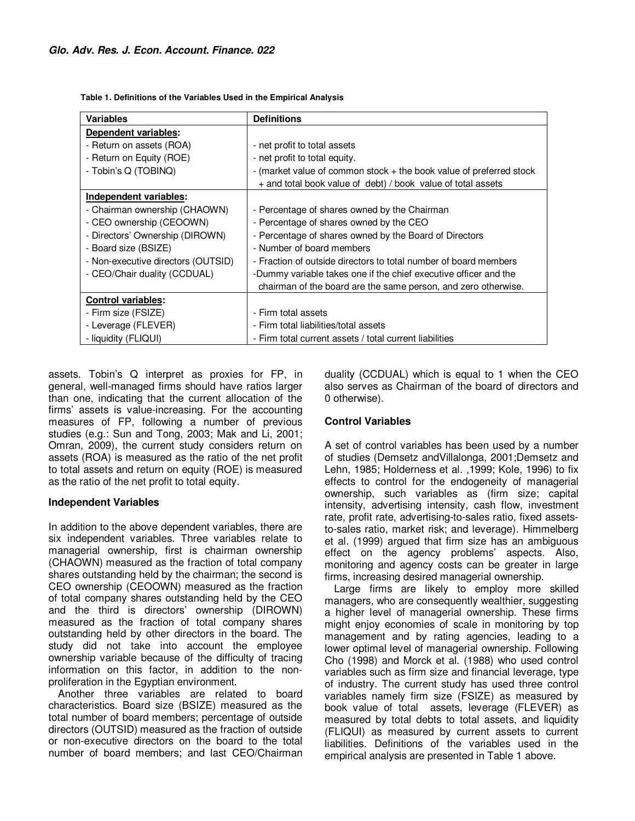**Table 1. Definitions of the Variables Used in the Empirical Analysis** 

| <b>Variables</b>                   | <b>Definitions</b>                                                  |
|------------------------------------|---------------------------------------------------------------------|
| Dependent variables:               |                                                                     |
| - Return on assets (ROA)           | - net profit to total assets                                        |
| - Return on Equity (ROE)           | - net profit to total equity.                                       |
| - Tobin's Q (TOBINQ)               | - (market value of common stock + the book value of preferred stock |
|                                    | + and total book value of debt) / book value of total assets        |
| Independent variables:             |                                                                     |
| - Chairman ownership (CHAOWN)      | - Percentage of shares owned by the Chairman                        |
| - CEO ownership (CEOOWN)           | - Percentage of shares owned by the CEO                             |
| - Directors' Ownership (DIROWN)    | - Percentage of shares owned by the Board of Directors              |
| - Board size (BSIZE)               | - Number of board members                                           |
| - Non-executive directors (OUTSID) | - Fraction of outside directors to total number of board members    |
| - CEO/Chair duality (CCDUAL)       | -Dummy variable takes one if the chief executive officer and the    |
|                                    | chairman of the board are the same person, and zero otherwise.      |
| <b>Control variables:</b>          |                                                                     |
| - Firm size (FSIZE)                | - Firm total assets                                                 |
| - Leverage (FLEVER)                | - Firm total liabilities/total assets                               |
| - liquidity (FLIQUI)               | - Firm total current assets / total current liabilities             |

assets. Tobin's Q interpret as proxies for FP, in general, well-managed firms should have ratios larger than one, indicating that the current allocation of the firms' assets is value-increasing. For the accounting measures of FP, following a number of previous studies (e.g.: Sun and Tong, 2003; Mak and Li, 2001; Omran, 2009), the current study considers return on assets (ROA) is measured as the ratio of the net profit to total assets and return on equity (ROE) is measured as the ratio of the net profit to total equity.

#### **Independent Variables**

In addition to the above dependent variables, there are six independent variables. Three variables relate to managerial ownership, first is chairman ownership (CHAOWN) measured as the fraction of total company shares outstanding held by the chairman; the second is CEO ownership (CEOOWN) measured as the fraction of total company shares outstanding held by the CEO and the third is directors' ownership (DIROWN) measured as the fraction of total company shares outstanding held by other directors in the board. The study did not take into account the employee ownership variable because of the difficulty of tracing information on this factor, in addition to the nonproliferation in the Egyptian environment.

Another three variables are related to board characteristics. Board size (BSIZE) measured as the total number of board members; percentage of outside directors (OUTSID) measured as the fraction of outside or non-executive directors on the board to the total number of board members; and last CEO/Chairman

duality (CCDUAL) which is equal to 1 when the CEO also serves as Chairman of the board of directors and 0 otherwise).

#### **Control Variables**

A set of control variables has been used by a number of studies (Demsetz andVillalonga, 2001;Demsetz and Lehn, 1985; Holderness et al. ,1999; Kole, 1996) to fix effects to control for the endogeneity of managerial ownership, such variables as (firm size; capital intensity, advertising intensity, cash flow, investment rate, profit rate, advertising-to-sales ratio, fixed assetsto-sales ratio, market risk; and leverage). Himmelberg et al. (1999) argued that firm size has an ambiguous effect on the agency problems' aspects. Also, monitoring and agency costs can be greater in large firms, increasing desired managerial ownership.

Large firms are likely to employ more skilled managers, who are consequently wealthier, suggesting a higher level of managerial ownership. These firms might enjoy economies of scale in monitoring by top management and by rating agencies, leading to a lower optimal level of managerial ownership. Following Cho (1998) and Morck et al. (1988) who used control variables such as firm size and financial leverage, type of industry. The current study has used three control variables namely firm size (FSIZE) as measured by book value of total assets, leverage (FLEVER) as measured by total debts to total assets, and liquidity (FLIQUI) as measured by current assets to current liabilities. Definitions of the variables used in the empirical analysis are presented in Table 1 above.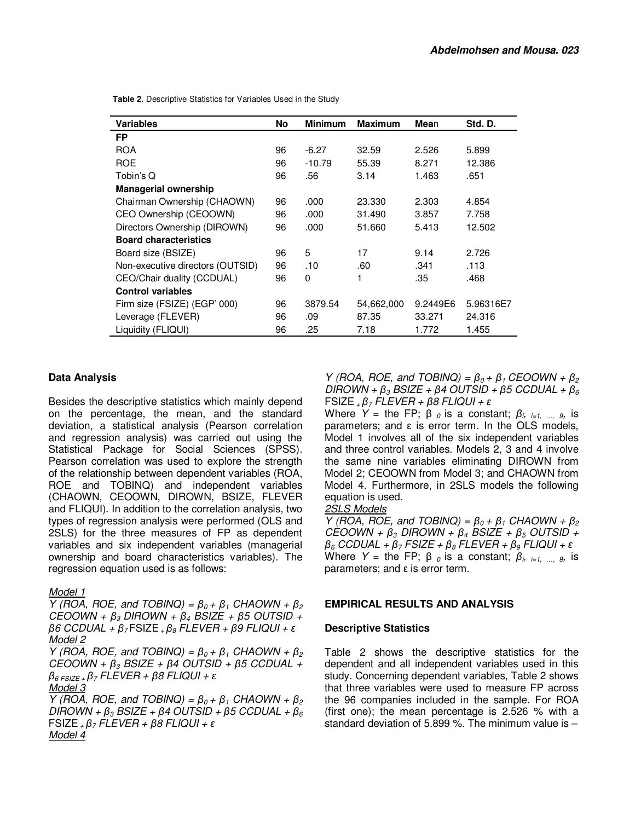**Table 2.** Descriptive Statistics for Variables Used in the Study

| <b>Variables</b>                 | <b>No</b> | <b>Minimum</b> | <b>Maximum</b> | <b>Mean</b> | Std. D.   |
|----------------------------------|-----------|----------------|----------------|-------------|-----------|
| <b>FP</b>                        |           |                |                |             |           |
| <b>ROA</b>                       | 96        | $-6.27$        | 32.59          | 2.526       | 5.899     |
| <b>ROE</b>                       | 96        | $-10.79$       | 55.39          | 8.271       | 12.386    |
| Tobin's Q                        | 96        | .56            | 3.14           | 1.463       | .651      |
| <b>Managerial ownership</b>      |           |                |                |             |           |
| Chairman Ownership (CHAOWN)      | 96        | .000           | 23.330         | 2.303       | 4.854     |
| CEO Ownership (CEOOWN)           | 96        | .000           | 31.490         | 3.857       | 7.758     |
| Directors Ownership (DIROWN)     | 96        | .000           | 51.660         | 5.413       | 12.502    |
| <b>Board characteristics</b>     |           |                |                |             |           |
| Board size (BSIZE)               | 96        | 5              | 17             | 9.14        | 2.726     |
| Non-executive directors (OUTSID) | 96        | .10            | .60            | .341        | .113      |
| CEO/Chair duality (CCDUAL)       | 96        | 0              | 1              | .35         | .468      |
| <b>Control variables</b>         |           |                |                |             |           |
| Firm size (FSIZE) (EGP' 000)     | 96        | 3879.54        | 54,662,000     | 9.2449E6    | 5.96316E7 |
| Leverage (FLEVER)                | 96        | .09            | 87.35          | 33.271      | 24.316    |
| Liquidity (FLIQUI)               | 96        | .25            | 7.18           | 1.772       | 1.455     |

# **Data Analysis**

Besides the descriptive statistics which mainly depend on the percentage, the mean, and the standard deviation, a statistical analysis (Pearson correlation and regression analysis) was carried out using the Statistical Package for Social Sciences (SPSS). Pearson correlation was used to explore the strength of the relationship between dependent variables (ROA, ROE and TOBINQ) and independent variables (CHAOWN, CEOOWN, DIROWN, BSIZE, FLEVER and FLIQUI). In addition to the correlation analysis, two types of regression analysis were performed (OLS and 2SLS) for the three measures of FP as dependent variables and six independent variables (managerial ownership and board characteristics variables). The regression equation used is as follows:

#### Model 1

*Y* (ROA, ROE, and TOBINQ) =  $\beta_0 + \beta_1$  CHAOWN +  $\beta_2$ CEOOWN + *β*3 DIROWN + *β*4 BSIZE + *β*5 OUTSID + *β*6 CCDUAL + *β*7 FSIZE + *β*8 FLEVER + *β*9 FLIQUI + *ε* Model 2

*Y* (ROA, ROE, and TOBINQ) =  $\beta_0 + \beta_1$  CHAOWN +  $\beta_2$ CEOOWN + *β*3 BSIZE + *β*4 OUTSID + *β*5 CCDUAL + *β*6 FSIZE + *β*7 FLEVER + *β*8 FLIQUI + *ε* Model 3

*Y* (ROA, ROE, and TOBINQ) =  $\beta_0 + \beta_1$  CHAOWN +  $\beta_2$ DIROWN + *β*3 BSIZE + *β*4 OUTSID + *β*5 CCDUAL + *β*<sup>6</sup> FSIZE + *β*7 FLEVER + *β*8 FLIQUI + *ε* Model 4

 $Y$  (ROA, ROE, and TOBINQ) =  $\beta_0 + \beta_1$  CEOOWN +  $\beta_2$ DIROWN + *β*3 BSIZE + *β*4 OUTSID + *β*5 CCDUAL + *β*<sup>6</sup> FSIZE + *β*7 FLEVER + *β*8 FLIQUI + *ε*

Where Y = the FP;  $\beta_o$  is a constant;  $\beta_{i,j}$   $_{i=1,\dots, g}$ , is parameters; and ε is error term. In the OLS models, Model 1 involves all of the six independent variables and three control variables. Models 2, 3 and 4 involve the same nine variables eliminating DIROWN from Model 2; CEOOWN from Model 3; and CHAOWN from Model 4. Furthermore, in 2SLS models the following equation is used.

#### 2SLS Models

*Y* (ROA, ROE, and TOBINQ) =  $\beta_0 + \beta_1$  CHAOWN +  $\beta_2$ CEOOWN + β<sub>3</sub> DIROWN + β<sub>4</sub> BSIZE + β<sub>5</sub> OUTSID + *β*6 CCDUAL + *β*7 FSIZE + *β*8 FLEVER + *β*9 FLIQUI + *ε* Where Y = the FP;  $\beta_o$  is a constant;  $\beta_{i,j}$   $_{i=1,\dots, g}$ , is parameters; and ε is error term.

#### **EMPIRICAL RESULTS AND ANALYSIS**

#### **Descriptive Statistics**

Table 2 shows the descriptive statistics for the dependent and all independent variables used in this study. Concerning dependent variables, Table 2 shows that three variables were used to measure FP across the 96 companies included in the sample. For ROA (first one); the mean percentage is 2.526 % with a standard deviation of 5.899 %. The minimum value is –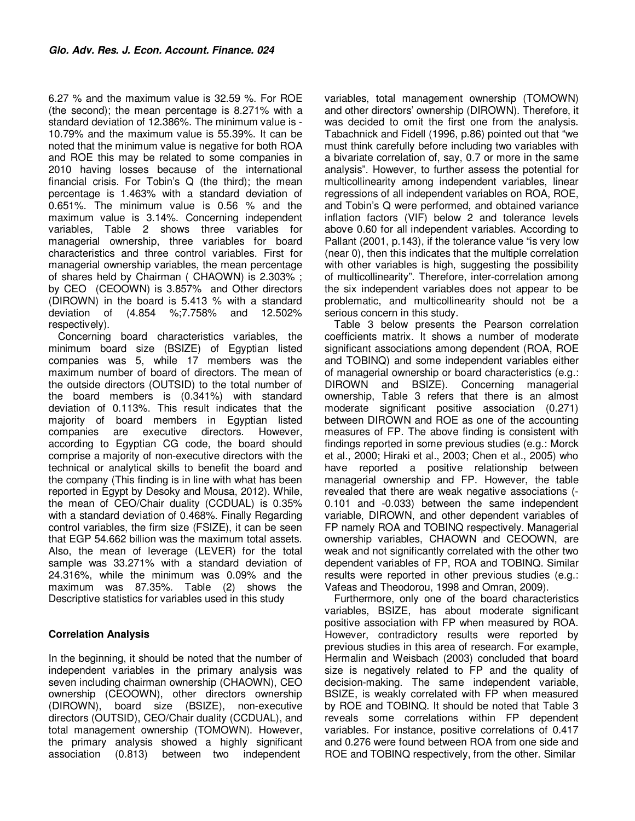6.27 % and the maximum value is 32.59 %. For ROE (the second); the mean percentage is 8.271% with a standard deviation of 12.386%. The minimum value is - 10.79% and the maximum value is 55.39%. It can be noted that the minimum value is negative for both ROA and ROE this may be related to some companies in 2010 having losses because of the international financial crisis. For Tobin's Q (the third); the mean percentage is 1.463% with a standard deviation of 0.651%. The minimum value is 0.56 % and the maximum value is 3.14%. Concerning independent variables, Table 2 shows three variables for managerial ownership, three variables for board characteristics and three control variables. First for managerial ownership variables, the mean percentage of shares held by Chairman ( CHAOWN) is 2.303% ; by CEO (CEOOWN) is 3.857% and Other directors (DIROWN) in the board is 5.413 % with a standard deviation of (4.854 %;7.758% and 12.502% respectively).

Concerning board characteristics variables, the minimum board size (BSIZE) of Egyptian listed companies was 5, while 17 members was the maximum number of board of directors. The mean of the outside directors (OUTSID) to the total number of the board members is (0.341%) with standard deviation of 0.113%. This result indicates that the majority of board members in Egyptian listed companies are executive directors. However, according to Egyptian CG code, the board should comprise a majority of non-executive directors with the technical or analytical skills to benefit the board and the company (This finding is in line with what has been reported in Egypt by Desoky and Mousa, 2012). While, the mean of CEO/Chair duality (CCDUAL) is 0.35% with a standard deviation of 0.468%. Finally Regarding control variables, the firm size (FSIZE), it can be seen that EGP 54.662 billion was the maximum total assets. Also, the mean of leverage (LEVER) for the total sample was 33.271% with a standard deviation of 24.316%, while the minimum was 0.09% and the maximum was 87.35%. Table (2) shows the Descriptive statistics for variables used in this study

# **Correlation Analysis**

In the beginning, it should be noted that the number of independent variables in the primary analysis was seven including chairman ownership (CHAOWN), CEO ownership (CEOOWN), other directors ownership (DIROWN), board size (BSIZE), non-executive directors (OUTSID), CEO/Chair duality (CCDUAL), and total management ownership (TOMOWN). However, the primary analysis showed a highly significant association (0.813) between two independent

variables, total management ownership (TOMOWN) and other directors' ownership (DIROWN). Therefore, it was decided to omit the first one from the analysis. Tabachnick and Fidell (1996, p.86) pointed out that "we must think carefully before including two variables with a bivariate correlation of, say, 0.7 or more in the same analysis". However, to further assess the potential for multicollinearity among independent variables, linear regressions of all independent variables on ROA, ROE, and Tobin's Q were performed, and obtained variance inflation factors (VIF) below 2 and tolerance levels above 0.60 for all independent variables. According to Pallant (2001, p.143), if the tolerance value "is very low (near 0), then this indicates that the multiple correlation with other variables is high, suggesting the possibility of multicollinearity". Therefore, inter-correlation among the six independent variables does not appear to be problematic, and multicollinearity should not be a serious concern in this study.

Table 3 below presents the Pearson correlation coefficients matrix. It shows a number of moderate significant associations among dependent (ROA, ROE and TOBINQ) and some independent variables either of managerial ownership or board characteristics (e.g.: DIROWN and BSIZE). Concerning managerial ownership, Table 3 refers that there is an almost moderate significant positive association (0.271) between DIROWN and ROE as one of the accounting measures of FP. The above finding is consistent with findings reported in some previous studies (e.g.: Morck et al., 2000; Hiraki et al., 2003; Chen et al., 2005) who have reported a positive relationship between managerial ownership and FP. However, the table revealed that there are weak negative associations (- 0.101 and -0.033) between the same independent variable, DIROWN, and other dependent variables of FP namely ROA and TOBINQ respectively. Managerial ownership variables, CHAOWN and CEOOWN, are weak and not significantly correlated with the other two dependent variables of FP, ROA and TOBINQ. Similar results were reported in other previous studies (e.g.: Vafeas and Theodorou, 1998 and Omran, 2009).

Furthermore, only one of the board characteristics variables, BSIZE, has about moderate significant positive association with FP when measured by ROA. However, contradictory results were reported by previous studies in this area of research. For example, Hermalin and Weisbach (2003) concluded that board size is negatively related to FP and the quality of decision-making. The same independent variable, BSIZE, is weakly correlated with FP when measured by ROE and TOBINQ. It should be noted that Table 3 reveals some correlations within FP dependent variables. For instance, positive correlations of 0.417 and 0.276 were found between ROA from one side and ROE and TOBINQ respectively, from the other. Similar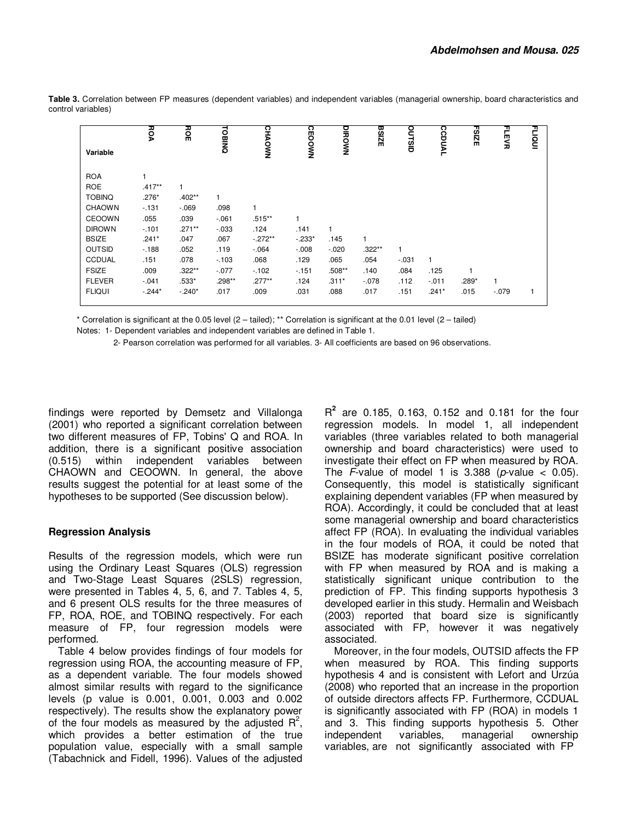|               | РОА      | ноE       |               |               |               |          | <b>BSIZE</b> |          |               | <b>FSIZE</b> | FLEVR   | FLIQUI |
|---------------|----------|-----------|---------------|---------------|---------------|----------|--------------|----------|---------------|--------------|---------|--------|
| Variable      |          |           | <b>TOBINQ</b> | <b>CHAOWN</b> | <b>CEOOWN</b> | DIROWN   |              | OUTSID   | <b>CCDUAL</b> |              |         |        |
| <b>ROA</b>    |          |           |               |               |               |          |              |          |               |              |         |        |
| <b>ROE</b>    | $.417**$ |           |               |               |               |          |              |          |               |              |         |        |
| <b>TOBINQ</b> | $.276*$  | $.402**$  |               |               |               |          |              |          |               |              |         |        |
| <b>CHAOWN</b> | $-131$   | $-069$    | .098          |               |               |          |              |          |               |              |         |        |
| CEOOWN        | .055     | .039      | $-061$        | $.515***$     | 1             |          |              |          |               |              |         |        |
| <b>DIROWN</b> | $-101$   | $.271***$ | $-0.033$      | .124          | .141          |          |              |          |               |              |         |        |
| <b>BSIZE</b>  | $.241*$  | .047      | .067          | $-272**$      | $-233*$       | .145     |              |          |               |              |         |        |
| <b>OUTSID</b> | $-188$   | .052      | .119          | $-.064$       | $-0.008$      | $-.020$  | $.322***$    |          |               |              |         |        |
| <b>CCDUAL</b> | .151     | .078      | $-103$        | .068          | .129          | .065     | .054         | $-0.031$ | $\mathbf{1}$  |              |         |        |
| <b>FSIZE</b>  | .009     | $.322***$ | $-.077$       | $-102$        | $-151$        | $.508**$ | .140         | .084     | .125          |              |         |        |
| <b>FLEVER</b> | $-041$   | $.533*$   | $.298**$      | $.277**$      | .124          | $.311*$  | $-078$       | .112     | $-011$        | .289*        |         |        |
| <b>FLIQUI</b> | $-244*$  | $-240*$   | .017          | .009          | .031          | .088     | .017         | .151     | $.241*$       | .015         | $-.079$ |        |

Table 3. Correlation between FP measures (dependent variables) and independent variables (managerial ownership, board characteristics and control variables)

\* Correlation is significant at the 0.05 level (2 – tailed); \*\* Correlation is significant at the 0.01 level (2 – tailed)

Notes: 1- Dependent variables and independent variables are defined in Table 1.

2- Pearson correlation was performed for all variables. 3- All coefficients are based on 96 observations.

findings were reported by Demsetz and Villalonga (2001) who reported a significant correlation between two different measures of FP, Tobins' Q and ROA. In addition, there is a significant positive association (0.515) within independent variables between CHAOWN and CEOOWN. In general, the above results suggest the potential for at least some of the hypotheses to be supported (See discussion below).

# **Regression Analysis**

Results of the regression models, which were run using the Ordinary Least Squares (OLS) regression and Two-Stage Least Squares (2SLS) regression, were presented in Tables 4, 5, 6, and 7. Tables 4, 5, and 6 present OLS results for the three measures of FP, ROA, ROE, and TOBINQ respectively. For each measure of FP, four regression models were performed.

Table 4 below provides findings of four models for regression using ROA, the accounting measure of FP, as a dependent variable. The four models showed almost similar results with regard to the significance levels (p value is 0.001, 0.001, 0.003 and 0.002 respectively). The results show the explanatory power of the four models as measured by the adjusted  $R^2$ , which provides a better estimation of the true population value, especially with a small sample (Tabachnick and Fidell, 1996). Values of the adjusted

R **2** are 0.185, 0.163, 0.152 and 0.181 for the four regression models. In model 1, all independent variables (three variables related to both managerial ownership and board characteristics) were used to investigate their effect on FP when measured by ROA. The F-value of model 1 is  $3.388$  (*p*-value < 0.05). Consequently, this model is statistically significant explaining dependent variables (FP when measured by ROA). Accordingly, it could be concluded that at least some managerial ownership and board characteristics affect FP (ROA). In evaluating the individual variables in the four models of ROA, it could be noted that BSIZE has moderate significant positive correlation with FP when measured by ROA and is making a statistically significant unique contribution to the prediction of FP. This finding supports hypothesis 3 developed earlier in this study. Hermalin and Weisbach (2003) reported that board size is significantly associated with FP, however it was negatively associated.

Moreover, in the four models, OUTSID affects the FP when measured by ROA. This finding supports hypothesis 4 and is consistent with Lefort and Urzúa (2008) who reported that an increase in the proportion of outside directors affects FP. Furthermore, CCDUAL is significantly associated with FP (ROA) in models 1 and 3. This finding supports hypothesis 5. Other<br>independent variables, managerial ownership independent variables, managerial ownership variables, are not significantly associated with FP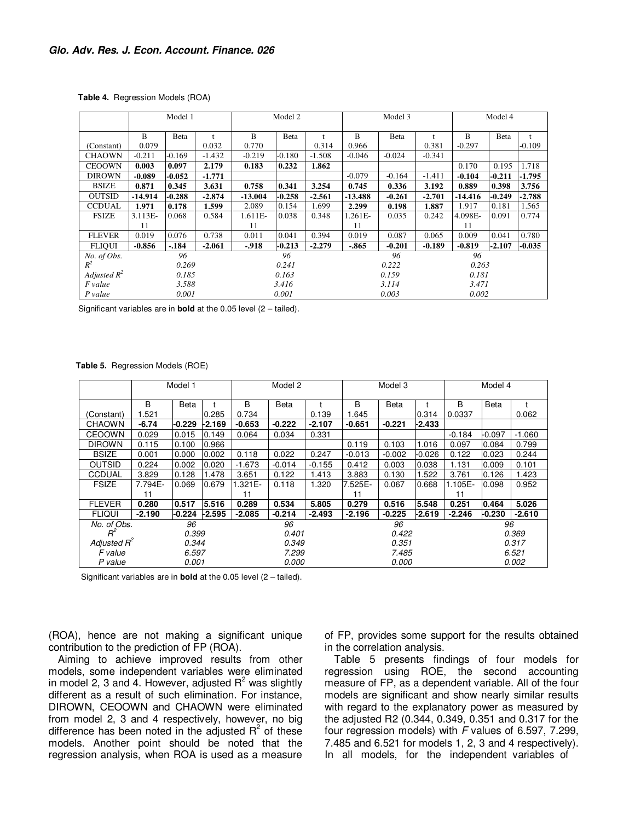|  | Table 4. Regression Models (ROA) |  |  |
|--|----------------------------------|--|--|
|--|----------------------------------|--|--|

|                |           | Model 1  |              | Model 2   |          |          | Model 3   |          |          | Model 4   |          |              |
|----------------|-----------|----------|--------------|-----------|----------|----------|-----------|----------|----------|-----------|----------|--------------|
|                | B         | Beta     | $\mathbf{f}$ | B         | Beta     |          | B         | Beta     | t        | B         | Beta     | $\mathbf{f}$ |
| (Constant)     | 0.079     |          | 0.032        | 0.770     |          | 0.314    | 0.966     |          | 0.381    | $-0.297$  |          | $-0.109$     |
| <b>CHAOWN</b>  | $-0.211$  | $-0.169$ | $-1.432$     | $-0.219$  | $-0.180$ | $-1.508$ | $-0.046$  | $-0.024$ | $-0.341$ |           |          |              |
| <b>CEOOWN</b>  | 0.003     | 0.097    | 2.179        | 0.183     | 0.232    | 1.862    |           |          |          | 0.170     | 0.195    | 1.718        |
| <b>DIROWN</b>  | $-0.089$  | $-0.052$ | $-1.771$     |           |          |          | $-0.079$  | $-0.164$ | $-1.411$ | $-0.104$  | $-0.211$ | $-1.795$     |
| <b>BSIZE</b>   | 0.871     | 0.345    | 3.631        | 0.758     | 0.341    | 3.254    | 0.745     | 0.336    | 3.192    | 0.889     | 0.398    | 3.756        |
| <b>OUTSID</b>  | $-14.914$ | $-0.288$ | $-2.874$     | $-13.004$ | $-0.258$ | $-2.561$ | $-13.488$ | $-0.261$ | $-2.701$ | $-14.416$ | $-0.249$ | $-2.788$     |
| <b>CCDUAL</b>  | 1.971     | 0.178    | 1.599        | 2.089     | 0.154    | 1.699    | 2.299     | 0.198    | 1.887    | 1.917     | 0.181    | 1.565        |
| <b>FSIZE</b>   | 3.113E-   | 0.068    | 0.584        | 1.611E-   | 0.038    | 0.348    | 1.261E-   | 0.035    | 0.242    | 4.098E-   | 0.091    | 0.774        |
|                | 11        |          |              | 11        |          |          | 11        |          |          | 11        |          |              |
| <b>FLEVER</b>  | 0.019     | 0.076    | 0.738        | 0.011     | 0.041    | 0.394    | 0.019     | 0.087    | 0.065    | 0.009     | 0.041    | 0.780        |
| <b>FLIQUI</b>  | $-0.856$  | $-.184$  | $-2.061$     | $-918$    | $-0.213$ | $-2.279$ | $-865$    | $-0.201$ | $-0.189$ | $-0.819$  | $-2.107$ | $-0.035$     |
| No. of Obs.    |           | 96       |              |           | 96       |          |           | 96       |          | 96        |          |              |
| $R^2$          |           | 0.269    |              |           | 0.241    |          |           | 0.222    |          | 0.263     |          |              |
| Adjusted $R^2$ |           | 0.185    |              | 0.163     |          |          | 0.159     |          |          | 0.181     |          |              |
| F value        |           | 3.588    |              | 3.416     |          |          | 3.114     |          |          | 3.471     |          |              |
| P value        |           | 0.001    |              |           | 0.001    |          |           | 0.003    |          | 0.002     |          |              |

Significant variables are in **bold** at the 0.05 level (2 – tailed).

 **Table 5.** Regression Models (ROE)

|                |          | Model 1  |          | Model 2  |              |          |          |             | Model 3  |          |          |          |  |
|----------------|----------|----------|----------|----------|--------------|----------|----------|-------------|----------|----------|----------|----------|--|
|                | B        | Beta     |          | B        | Beta         |          | B        | <b>Beta</b> |          | B        | Beta     |          |  |
| (Constant)     | 1.521    |          | 0.285    | 0.734    |              | 0.139    | 1.645    |             | 0.314    | 0.0337   |          | 0.062    |  |
| <b>CHAOWN</b>  | $-6.74$  | -0.229   | -2.169   | $-0.653$ | $-0.222$     | $-2.107$ | $-0.651$ | $-0.221$    | -2.433   |          |          |          |  |
| <b>CEOOWN</b>  | 0.029    | 0.015    | 0.149    | 0.064    | 0.034        | 0.331    |          |             |          | $-0.184$ | -0.097   | $-1.060$ |  |
| <b>DIROWN</b>  | 0.115    | 0.100    | 0.966    |          |              |          | 0.119    | 0.103       | 1.016    | 0.097    | 0.084    | 0.799    |  |
| <b>BSIZE</b>   | 0.001    | 0.000    | 0.002    | 0.118    | 0.022        | 0.247    | $-0.013$ | $-0.002$    | $-0.026$ | 0.122    | 0.023    | 0.244    |  |
| <b>OUTSID</b>  | 0.224    | 0.002    | 0.020    | $-1.673$ | $-0.014$     | $-0.155$ | 0.412    | 0.003       | 0.038    | 1.131    | 0.009    | 0.101    |  |
| CCDUAL         | 3.829    | 0.128    | .478     | 3.651    | 0.122        | 1.413    | 3.883    | 0.130       | 1.522    | 3.761    | 0.126    | 1.423    |  |
| <b>FSIZE</b>   | 7.794E-  | 0.069    | 0.679    | 1.321E-  | 0.118        | 1.320    | 7.525E-  | 0.067       | 0.668    | 1.105E-  | 0.098    | 0.952    |  |
|                | 11       |          |          | 11       |              |          | 11       |             |          | 11       |          |          |  |
| <b>FLEVER</b>  | 0.280    | 0.517    | 5.516    | 0.289    | 0.534        | 5.805    | 0.279    | 0.516       | 5.548    | 0.251    | 0.464    | 5.026    |  |
| <b>FLIQUI</b>  | $-2.190$ | $-0.224$ | $-2.595$ | $-2.085$ | $-0.214$     | $-2.493$ | $-2.196$ | $-0.225$    | -2.619   | $-2.246$ | $-0.230$ | $-2.610$ |  |
| No. of Obs.    |          | 96       |          |          | 96           |          |          | 96          |          |          | 96       |          |  |
| $R^2$          |          | 0.399    |          |          | 0.401        |          |          | 0.422       |          |          | 0.369    |          |  |
| Adjusted $R^2$ |          | 0.344    |          |          | 0.349        |          |          | 0.351       |          |          |          | 0.317    |  |
| F value        |          | 6.597    |          |          | 7.299        |          | 7.485    |             |          |          | 6.521    |          |  |
| P value        |          | 0.001    |          |          | <i>0.000</i> |          |          | 0.000       |          |          |          | 0.002    |  |

Significant variables are in **bold** at the 0.05 level (2 – tailed).

(ROA), hence are not making a significant unique contribution to the prediction of FP (ROA).

Aiming to achieve improved results from other models, some independent variables were eliminated in model 2, 3 and 4. However, adjusted  $R^2$  was slightly different as a result of such elimination. For instance, DIROWN, CEOOWN and CHAOWN were eliminated from model 2, 3 and 4 respectively, however, no big difference has been noted in the adjusted  $R^2$  of these models. Another point should be noted that the regression analysis, when ROA is used as a measure

of FP, provides some support for the results obtained in the correlation analysis.

Table 5 presents findings of four models for regression using ROE, the second accounting measure of FP, as a dependent variable. All of the four models are significant and show nearly similar results with regard to the explanatory power as measured by the adjusted R2 (0.344, 0.349, 0.351 and 0.317 for the four regression models) with F values of 6.597, 7.299, 7.485 and 6.521 for models 1, 2, 3 and 4 respectively). In all models, for the independent variables of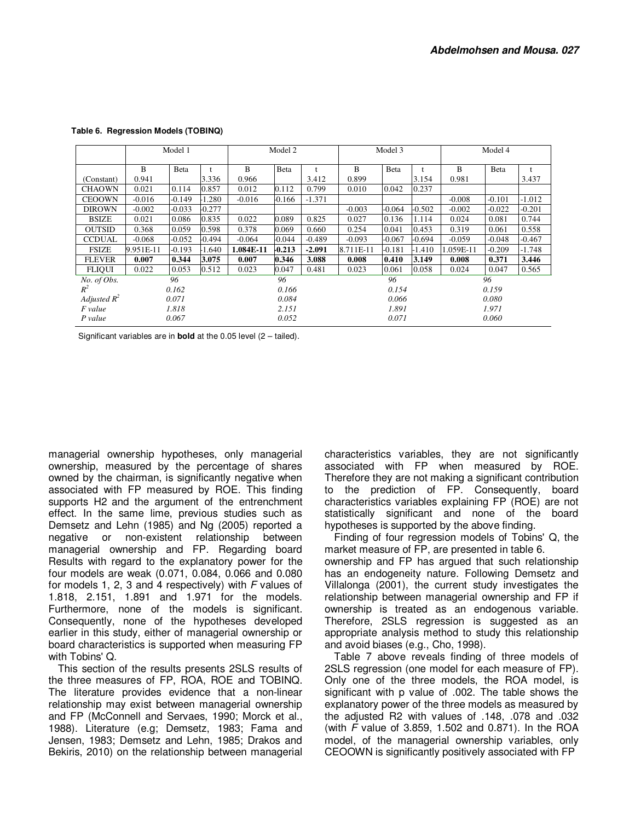|                          |           | Model 1  |          | Model 2   |          |          | Model 3   |          |          | Model 4   |              |          |
|--------------------------|-----------|----------|----------|-----------|----------|----------|-----------|----------|----------|-----------|--------------|----------|
|                          | B         | Beta     |          | B         | Beta     |          | B         | Beta     |          | B         | <b>B</b> eta |          |
| (Constant)               | 0.941     |          | 3.336    | 0.966     |          | 3.412    | 0.899     |          | 3.154    | 0.981     |              | 3.437    |
| <b>CHAOWN</b>            | 0.021     | 0.114    | 0.857    | 0.012     | 0.112    | 0.799    | 0.010     | 0.042    | 0.237    |           |              |          |
| <b>CEOOWN</b>            | $-0.016$  | $-0.149$ | $-1.280$ | $-0.016$  | $-0.166$ | $-1.371$ |           |          |          | $-0.008$  | $-0.101$     | $-1.012$ |
| <b>DIROWN</b>            | $-0.002$  | $-0.033$ | $-0.277$ |           |          |          | $-0.003$  | $-0.064$ | $-0.502$ | $-0.002$  | $-0.022$     | $-0.201$ |
| <b>BSIZE</b>             | 0.021     | 0.086    | 0.835    | 0.022     | 0.089    | 0.825    | 0.027     | 0.136    | 1.114    | 0.024     | 0.081        | 0.744    |
| <b>OUTSID</b>            | 0.368     | 0.059    | 0.598    | 0.378     | 0.069    | 0.660    | 0.254     | 0.041    | 0.453    | 0.319     | 0.061        | 0.558    |
| <b>CCDUAL</b>            | $-0.068$  | $-0.052$ | -0.494   | $-0.064$  | $-0.044$ | $-0.489$ | $-0.093$  | $-0.067$ | $-0.694$ | $-0.059$  | $-0.048$     | $-0.467$ |
| <b>FSIZE</b>             | 9.951E-11 | $-0.193$ | $-1.640$ | 1.084E-11 | $-0.213$ | $-2.091$ | 8.711E-11 | $-0.181$ | $-1.410$ | 1.059E-11 | $-0.209$     | -1.748   |
| <b>FLEVER</b>            | 0.007     | 0.344    | 3.075    | 0.007     | 0.346    | 3.088    | 0.008     | 0.410    | 3.149    | 0.008     | 0.371        | 3.446    |
| <b>FLIQUI</b>            | 0.022     | 0.053    | 0.512    | 0.023     | 0.047    | 0.481    | 0.023     | 0.061    | 0.058    | 0.024     | 0.047        | 0.565    |
| $No. of \overline{Obs}.$ |           | 96       |          |           | 96       |          |           | 96       |          |           | 96           |          |
| $R^2$                    |           | 0.162    |          |           | 0.166    |          |           | 0.154    |          |           | 0.159        |          |
| Adjusted $R^2$           |           | 0.071    |          | 0.084     |          |          | 0.066     |          |          | 0.080     |              |          |
| F value                  |           | 1.818    |          | 2.151     |          |          | 1.891     |          |          | 1.971     |              |          |
| $P$ value                |           | 0.067    |          |           | 0.052    |          | 0.071     |          |          | 0.060     |              |          |

 **Table 6. Regression Models (TOBINQ)** 

Significant variables are in **bold** at the 0.05 level (2 – tailed).

managerial ownership hypotheses, only managerial ownership, measured by the percentage of shares owned by the chairman, is significantly negative when associated with FP measured by ROE. This finding supports H2 and the argument of the entrenchment effect. In the same lime, previous studies such as Demsetz and Lehn (1985) and Ng (2005) reported a negative or non-existent relationship between managerial ownership and FP. Regarding board Results with regard to the explanatory power for the four models are weak (0.071, 0.084, 0.066 and 0.080 for models 1, 2, 3 and 4 respectively) with  $F$  values of 1.818, 2.151, 1.891 and 1.971 for the models. Furthermore, none of the models is significant. Consequently, none of the hypotheses developed earlier in this study, either of managerial ownership or board characteristics is supported when measuring FP with Tobins' Q.

This section of the results presents 2SLS results of the three measures of FP, ROA, ROE and TOBINQ. The literature provides evidence that a non-linear relationship may exist between managerial ownership and FP (McConnell and Servaes, 1990; Morck et al., 1988). Literature (e.g; Demsetz, 1983; Fama and Jensen, 1983; Demsetz and Lehn, 1985; Drakos and Bekiris, 2010) on the relationship between managerial characteristics variables, they are not significantly associated with FP when measured by ROE. Therefore they are not making a significant contribution to the prediction of FP. Consequently, board characteristics variables explaining FP (ROE) are not statistically significant and none of the board hypotheses is supported by the above finding.

Finding of four regression models of Tobins' Q, the market measure of FP, are presented in table 6.

ownership and FP has argued that such relationship has an endogeneity nature. Following Demsetz and Villalonga (2001), the current study investigates the relationship between managerial ownership and FP if ownership is treated as an endogenous variable. Therefore, 2SLS regression is suggested as an appropriate analysis method to study this relationship and avoid biases (e.g., Cho, 1998).

Table 7 above reveals finding of three models of 2SLS regression (one model for each measure of FP). Only one of the three models, the ROA model, is significant with p value of .002. The table shows the explanatory power of the three models as measured by the adjusted R2 with values of .148, .078 and .032 (with F value of 3.859, 1.502 and 0.871). In the ROA model, of the managerial ownership variables, only CEOOWN is significantly positively associated with FP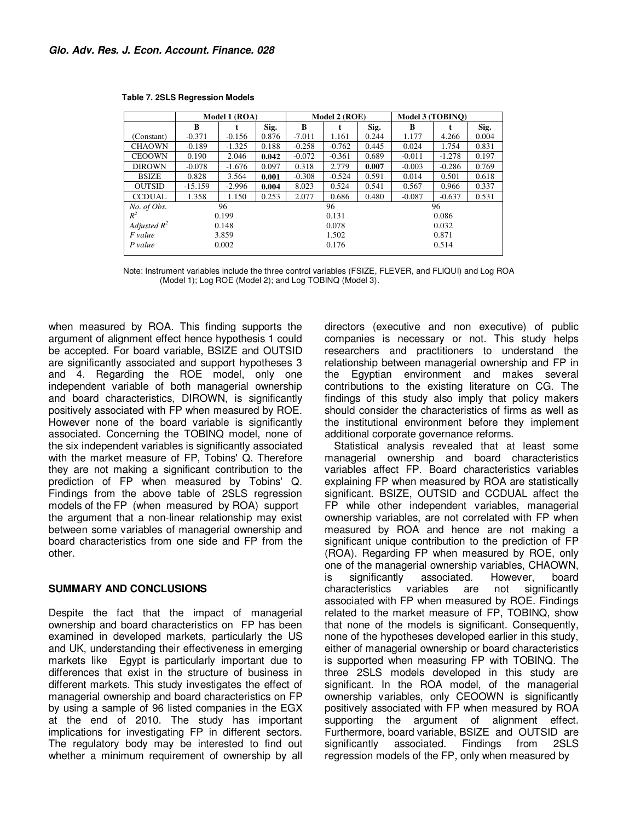|                |           | Model 1 (ROA) |       |          | Model 2 (ROE) |       | Model 3 (TOBINO) |          |       |  |
|----------------|-----------|---------------|-------|----------|---------------|-------|------------------|----------|-------|--|
|                | B         |               | Sig.  | R        | t             | Sig.  | В                |          | Sig.  |  |
| (Constant)     | $-0.371$  | $-0.156$      | 0.876 | $-7.011$ | 1.161         | 0.244 | 1.177            | 4.266    | 0.004 |  |
| <b>CHAOWN</b>  | $-0.189$  | $-1.325$      | 0.188 | $-0.258$ | $-0.762$      | 0.445 | 0.024            | 1.754    | 0.831 |  |
| <b>CEOOWN</b>  | 0.190     | 2.046         | 0.042 | $-0.072$ | $-0.361$      | 0.689 | $-0.011$         | $-1.278$ | 0.197 |  |
| <b>DIROWN</b>  | $-0.078$  | $-1.676$      | 0.097 | 0.318    | 2.779         | 0.007 | $-0.003$         | $-0.286$ | 0.769 |  |
| <b>BSIZE</b>   | 0.828     | 3.564         | 0.001 | $-0.308$ | $-0.524$      | 0.591 | 0.014            | 0.501    | 0.618 |  |
| <b>OUTSID</b>  | $-15.159$ | $-2.996$      | 0.004 | 8.023    | 0.524         | 0.541 | 0.567            | 0.966    | 0.337 |  |
| <b>CCDUAL</b>  | 1.358     | 1.150         | 0.253 | 2.077    | 0.686         | 0.480 | $-0.087$         | $-0.637$ | 0.531 |  |
| No. of Obs.    |           | 96            |       | 96       |               |       | 96               |          |       |  |
| $R^2$          |           | 0.199         |       |          | 0.131         |       |                  | 0.086    |       |  |
| Adjusted $R^2$ | 0.148     |               |       | 0.078    |               |       | 0.032            |          |       |  |
| F value        | 3.859     |               |       | 1.502    |               |       | 0.871            |          |       |  |
| P value        |           | 0.002         |       |          | 0.176         |       | 0.514            |          |       |  |

 **Table 7. 2SLS Regression Models** 

Note: Instrument variables include the three control variables (FSIZE, FLEVER, and FLIQUI) and Log ROA (Model 1); Log ROE (Model 2); and Log TOBINQ (Model 3).

when measured by ROA. This finding supports the argument of alignment effect hence hypothesis 1 could be accepted. For board variable, BSIZE and OUTSID are significantly associated and support hypotheses 3 and 4. Regarding the ROE model, only one independent variable of both managerial ownership and board characteristics, DIROWN, is significantly positively associated with FP when measured by ROE. However none of the board variable is significantly associated. Concerning the TOBINQ model, none of the six independent variables is significantly associated with the market measure of FP, Tobins' Q. Therefore they are not making a significant contribution to the prediction of FP when measured by Tobins' Q. Findings from the above table of 2SLS regression models of the FP (when measured by ROA) support the argument that a non-linear relationship may exist between some variables of managerial ownership and board characteristics from one side and FP from the other.

#### **SUMMARY AND CONCLUSIONS**

Despite the fact that the impact of managerial ownership and board characteristics on FP has been examined in developed markets, particularly the US and UK, understanding their effectiveness in emerging markets like Egypt is particularly important due to differences that exist in the structure of business in different markets. This study investigates the effect of managerial ownership and board characteristics on FP by using a sample of 96 listed companies in the EGX at the end of 2010. The study has important implications for investigating FP in different sectors. The regulatory body may be interested to find out whether a minimum requirement of ownership by all

directors (executive and non executive) of public companies is necessary or not. This study helps researchers and practitioners to understand the relationship between managerial ownership and FP in the Egyptian environment and makes several contributions to the existing literature on CG. The findings of this study also imply that policy makers should consider the characteristics of firms as well as the institutional environment before they implement additional corporate governance reforms.

Statistical analysis revealed that at least some managerial ownership and board characteristics variables affect FP. Board characteristics variables explaining FP when measured by ROA are statistically significant. BSIZE, OUTSID and CCDUAL affect the FP while other independent variables, managerial ownership variables, are not correlated with FP when measured by ROA and hence are not making a significant unique contribution to the prediction of FP (ROA). Regarding FP when measured by ROE, only one of the managerial ownership variables, CHAOWN, is significantly associated. However, board characteristics variables are not significantly associated with FP when measured by ROE. Findings related to the market measure of FP, TOBINQ, show that none of the models is significant. Consequently, none of the hypotheses developed earlier in this study, either of managerial ownership or board characteristics is supported when measuring FP with TOBINQ. The three 2SLS models developed in this study are significant. In the ROA model, of the managerial ownership variables, only CEOOWN is significantly positively associated with FP when measured by ROA supporting the argument of alignment effect. Furthermore, board variable, BSIZE and OUTSID are significantly associated. Findings from 2SLS regression models of the FP, only when measured by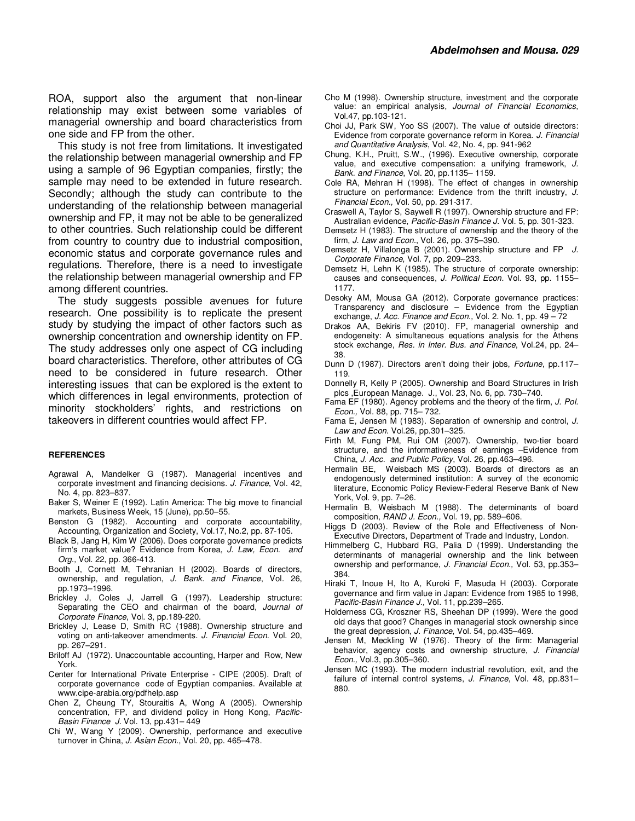This study is not free from limitations. It investigated the relationship between managerial ownership and FP using a sample of 96 Egyptian companies, firstly; the sample may need to be extended in future research. Secondly; although the study can contribute to the understanding of the relationship between managerial ownership and FP, it may not be able to be generalized to other countries. Such relationship could be different from country to country due to industrial composition, economic status and corporate governance rules and regulations. Therefore, there is a need to investigate the relationship between managerial ownership and FP among different countries.

The study suggests possible avenues for future research. One possibility is to replicate the present study by studying the impact of other factors such as ownership concentration and ownership identity on FP. The study addresses only one aspect of CG including board characteristics. Therefore, other attributes of CG need to be considered in future research. Other interesting issues that can be explored is the extent to which differences in legal environments, protection of minority stockholders' rights, and restrictions on takeovers in different countries would affect FP.

#### **REFERENCES**

- Agrawal A, Mandelker G (1987). Managerial incentives and corporate investment and financing decisions. J. Finance, Vol. 42, No. 4, pp. 823–837.
- Baker S, Weiner E (1992). Latin America: The big move to financial markets, Business Week, 15 (June), pp.50–55.
- Benston G (1982). Accounting and corporate accountability, Accounting, Organization and Society, Vol.17, No.2, pp. 87-105.
- Black B, Jang H, Kim W (2006). Does corporate governance predicts firm's market value? Evidence from Korea, J. Law, Econ. and Org., Vol. 22, pp. 366-413.
- Booth J, Cornett M, Tehranian H (2002). Boards of directors, ownership, and regulation, J. Bank. and Finance, Vol. 26, pp.1973–1996.
- Brickley J, Coles J, Jarrell G (1997). Leadership structure: Separating the CEO and chairman of the board, Journal of Corporate Finance, Vol. 3, pp.189-220.
- Brickley J, Lease D, Smith RC (1988). Ownership structure and voting on anti-takeover amendments. J. Financial Econ. Vol. 20, pp. 267–291.
- Briloff AJ (1972). Unaccountable accounting, Harper and Row, New York.
- Center for International Private Enterprise CIPE (2005). Draft of corporate governance code of Egyptian companies. Available at www.cipe-arabia.org/pdfhelp.asp
- Chen Z, Cheung TY, Stouraitis A, Wong A (2005). Ownership concentration, FP, and dividend policy in Hong Kong, Pacific-Basin Finance J. Vol. 13, pp.431– 449
- Chi W, Wang Y (2009). Ownership, performance and executive turnover in China, J. Asian Econ., Vol. 20, pp. 465-478.
- Cho M (1998). Ownership structure, investment and the corporate value: an empirical analysis, Journal of Financial Economics, Vol.47, pp.103-121.
- Choi JJ, Park SW, Yoo SS (2007). The value of outside directors: Evidence from corporate governance reform in Korea. J. Financial and Quantitative Analysis, Vol. 42, No. 4, pp. 941-962
- Chung, K.H., Pruitt, S.W., (1996). Executive ownership, corporate value, and executive compensation: a unifying framework, J. Bank. and Finance, Vol. 20, pp.1135– 1159.
- Cole RA, Mehran H (1998). The effect of changes in ownership structure on performance: Evidence from the thrift industry, J. Financial Econ., Vol. 50, pp. 291-317.
- Craswell A, Taylor S, Saywell R (1997). Ownership structure and FP: Australian evidence, Pacific-Basin Finance J. Vol. 5, pp. 301-323.
- Demsetz H (1983). The structure of ownership and the theory of the firm, J. Law and Econ., Vol. 26, pp. 375–390.
- Demsetz H, Villalonga B (2001). Ownership structure and FP J. Corporate Finance, Vol. 7, pp. 209–233.
- Demsetz H, Lehn K (1985). The structure of corporate ownership: causes and consequences, J. Political Econ. Vol. 93, pp. 1155-1177.
- Desoky AM, Mousa GA (2012). Corporate governance practices: Transparency and disclosure – Evidence from the Egyptian exchange, J. Acc. Finance and Econ., Vol. 2. No. 1, pp. 49 - 72
- Drakos AA, Bekiris FV (2010). FP, managerial ownership and endogeneity: A simultaneous equations analysis for the Athens stock exchange, Res. in Inter. Bus. and Finance, Vol.24, pp. 24– 38.
- Dunn D (1987). Directors aren't doing their jobs, Fortune, pp.117– 119.
- Donnelly R, Kelly P (2005). Ownership and Board Structures in Irish plcs ,European Manage. J., Vol. 23, No. 6, pp. 730–740.
- Fama EF (1980). Agency problems and the theory of the firm, J. Pol. Econ., Vol. 88, pp. 715– 732.
- Fama E, Jensen M (1983). Separation of ownership and control, J. Law and Econ. Vol.26, pp.301–325.
- Firth M, Fung PM, Rui OM (2007). Ownership, two-tier board structure, and the informativeness of earnings –Evidence from China, J. Acc. and Public Policy, Vol. 26, pp.463–496.
- Hermalin BE, Weisbach MS (2003). Boards of directors as an endogenously determined institution: A survey of the economic literature, Economic Policy Review-Federal Reserve Bank of New York, Vol. 9, pp. 7–26.
- Hermalin B, Weisbach M (1988). The determinants of board composition, RAND J. Econ., Vol. 19, pp. 589-606.
- Higgs D (2003). Review of the Role and Effectiveness of Non-Executive Directors, Department of Trade and Industry, London.
- Himmelberg C, Hubbard RG, Palia D (1999). Understanding the determinants of managerial ownership and the link between ownership and performance, J. Financial Econ., Vol. 53, pp.353-384.
- Hiraki T, Inoue H, Ito A, Kuroki F, Masuda H (2003). Corporate governance and firm value in Japan: Evidence from 1985 to 1998, Pacific-Basin Finance J., Vol. 11, pp.239–265.
- Holderness CG, Kroszner RS, Sheehan DP (1999). Were the good old days that good? Changes in managerial stock ownership since the great depression, J. Finance, Vol. 54, pp.435-469.
- Jensen M, Meckling W (1976). Theory of the firm: Managerial behavior, agency costs and ownership structure, J. Financial Econ., Vol.3, pp.305–360.
- Jensen MC (1993). The modern industrial revolution, exit, and the failure of internal control systems, J. Finance, Vol. 48, pp.831-880.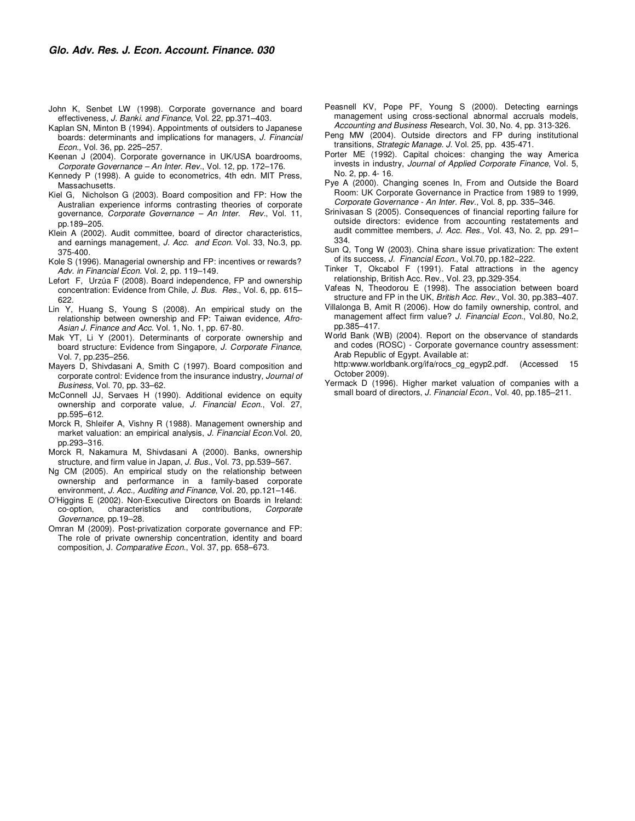- John K, Senbet LW (1998). Corporate governance and board effectiveness, J. Banki. and Finance, Vol. 22, pp.371-403.
- Kaplan SN, Minton B (1994). Appointments of outsiders to Japanese boards: determinants and implications for managers, J. Financial Econ., Vol. 36, pp. 225–257.
- Keenan J (2004). Corporate governance in UK/USA boardrooms, Corporate Governance – An Inter. Rev., Vol. 12, pp. 172–176.
- Kennedy P (1998). A guide to econometrics, 4th edn. MIT Press, Massachusetts.
- Kiel G, Nicholson G (2003). Board composition and FP: How the Australian experience informs contrasting theories of corporate governance, Corporate Governance – An Inter. Rev., Vol. 11, pp.189–205.
- Klein A (2002). Audit committee, board of director characteristics, and earnings management, J. Acc. and Econ. Vol. 33, No.3, pp. 375-400.
- Kole S (1996). Managerial ownership and FP: incentives or rewards? Adv. in Financial Econ. Vol. 2, pp. 119–149.
- Lefort F, Urzúa F (2008). Board independence, FP and ownership concentration: Evidence from Chile, J. Bus. Res., Vol. 6, pp. 615– 622.
- Lin Y, Huang S, Young S (2008). An empirical study on the relationship between ownership and FP: Taiwan evidence, Afro-Asian J. Finance and Acc. Vol. 1, No. 1, pp. 67-80.
- Mak YT, Li Y (2001). Determinants of corporate ownership and board structure: Evidence from Singapore, J. Corporate Finance, Vol. 7, pp.235–256.
- Mayers D, Shivdasani A, Smith C (1997). Board composition and corporate control: Evidence from the insurance industry, Journal of Business, Vol. 70, pp. 33–62.
- McConnell JJ, Servaes H (1990). Additional evidence on equity ownership and corporate value, J. Financial Econ., Vol. 27, pp.595–612.
- Morck R, Shleifer A, Vishny R (1988). Management ownership and market valuation: an empirical analysis, J. Financial Econ.Vol. 20, pp.293–316.
- Morck R, Nakamura M, Shivdasani A (2000). Banks, ownership structure, and firm value in Japan, J. Bus., Vol. 73, pp.539–567.
- Ng CM (2005). An empirical study on the relationship between ownership and performance in a family-based corporate environment, J. Acc., Auditing and Finance, Vol. 20, pp.121–146.
- O'Higgins E (2002). Non-Executive Directors on Boards in Ireland:<br>co-option, characteristics and contributions, Corporate co-option, characteristics and contributions, Corporate Governance, pp.19–28.
- Omran M (2009). Post-privatization corporate governance and FP: The role of private ownership concentration, identity and board composition, J. Comparative Econ., Vol. 37, pp. 658–673.
- Peasnell KV, Pope PF, Young S (2000). Detecting earnings management using cross-sectional abnormal accruals models, Accounting and Business Research, Vol. 30, No. 4, pp. 313-326.
- Peng MW (2004). Outside directors and FP during institutional transitions, Strategic Manage. J. Vol. 25, pp. 435-471.
- Porter ME (1992). Capital choices: changing the way America invests in industry, Journal of Applied Corporate Finance, Vol. 5, No. 2, pp. 4- 16.
- Pye A (2000). Changing scenes In, From and Outside the Board Room: UK Corporate Governance in Practice from 1989 to 1999, Corporate Governance - An Inter. Rev., Vol. 8, pp. 335–346.
- Srinivasan S (2005). Consequences of financial reporting failure for outside directors: evidence from accounting restatements and audit committee members, J. Acc. Res., Vol. 43, No. 2, pp. 291– 334.
- Sun Q, Tong W (2003). China share issue privatization: The extent of its success, J. Financial Econ., Vol.70, pp.182−222.
- Tinker T, Okcabol F (1991). Fatal attractions in the agency relationship, British Acc. Rev., Vol. 23, pp.329-354.
- Vafeas N, Theodorou E (1998). The association between board structure and FP in the UK, British Acc. Rev., Vol. 30, pp.383-407.
- Villalonga B, Amit R (2006). How do family ownership, control, and management affect firm value? J. Financial Econ., Vol.80, No.2, pp.385–417.
- World Bank (WB) (2004). Report on the observance of standards and codes (ROSC) - Corporate governance country assessment: Arab Republic of Egypt. Available at:

 http:www.worldbank.org/ifa/rocs\_cg\_egyp2.pdf. (Accessed 15 October 2009).

Yermack D (1996). Higher market valuation of companies with a small board of directors, J. Financial Econ., Vol. 40, pp.185-211.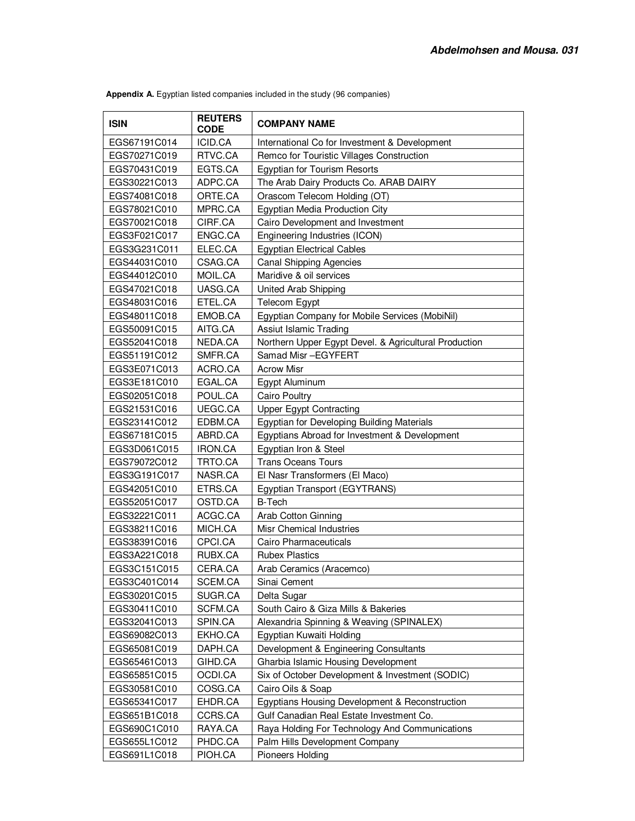| <b>ISIN</b>  | <b>REUTERS</b><br>CODE | <b>COMPANY NAME</b>                                   |
|--------------|------------------------|-------------------------------------------------------|
| EGS67191C014 | ICID.CA                | International Co for Investment & Development         |
| EGS70271C019 | RTVC.CA                | Remco for Touristic Villages Construction             |
| EGS70431C019 | EGTS.CA                | <b>Egyptian for Tourism Resorts</b>                   |
| EGS30221C013 | ADPC.CA                | The Arab Dairy Products Co. ARAB DAIRY                |
| EGS74081C018 | ORTE.CA                | Orascom Telecom Holding (OT)                          |
| EGS78021C010 | MPRC.CA                | Egyptian Media Production City                        |
| EGS70021C018 | CIRF.CA                | Cairo Development and Investment                      |
| EGS3F021C017 | ENGC.CA                | Engineering Industries (ICON)                         |
| EGS3G231C011 | ELEC.CA                | <b>Egyptian Electrical Cables</b>                     |
| EGS44031C010 | CSAG.CA                | <b>Canal Shipping Agencies</b>                        |
| EGS44012C010 | MOIL.CA                | Maridive & oil services                               |
| EGS47021C018 | UASG.CA                | United Arab Shipping                                  |
| EGS48031C016 | ETEL.CA                | Telecom Egypt                                         |
| EGS48011C018 | EMOB.CA                | Egyptian Company for Mobile Services (MobiNil)        |
| EGS50091C015 | AITG.CA                | Assiut Islamic Trading                                |
| EGS52041C018 | NEDA.CA                | Northern Upper Egypt Devel. & Agricultural Production |
| EGS51191C012 | SMFR.CA                | Samad Misr-EGYFERT                                    |
| EGS3E071C013 | ACRO.CA                | <b>Acrow Misr</b>                                     |
| EGS3E181C010 | EGAL.CA                | Egypt Aluminum                                        |
| EGS02051C018 | POUL.CA                | Cairo Poultry                                         |
| EGS21531C016 | UEGC.CA                | <b>Upper Egypt Contracting</b>                        |
| EGS23141C012 | EDBM.CA                | Egyptian for Developing Building Materials            |
| EGS67181C015 | ABRD.CA                | Egyptians Abroad for Investment & Development         |
| EGS3D061C015 | IRON.CA                | Egyptian Iron & Steel                                 |
| EGS79072C012 | TRTO.CA                | <b>Trans Oceans Tours</b>                             |
| EGS3G191C017 | NASR.CA                | El Nasr Transformers (El Maco)                        |
| EGS42051C010 | ETRS.CA                | Egyptian Transport (EGYTRANS)                         |
| EGS52051C017 | OSTD.CA                | <b>B-Tech</b>                                         |
| EGS32221C011 | ACGC.CA                | Arab Cotton Ginning                                   |
| EGS38211C016 | MICH.CA                | Misr Chemical Industries                              |
| EGS38391C016 | CPCI.CA                | Cairo Pharmaceuticals                                 |
| EGS3A221C018 | RUBX.CA                | <b>Rubex Plastics</b>                                 |
| EGS3C151C015 | CERA.CA                | Arab Ceramics (Aracemco)                              |
| EGS3C401C014 | SCEM.CA                | Sinai Cement                                          |
| EGS30201C015 | SUGR.CA                | Delta Sugar                                           |
| EGS30411C010 | SCFM.CA                | South Cairo & Giza Mills & Bakeries                   |
| EGS32041C013 | SPIN.CA                | Alexandria Spinning & Weaving (SPINALEX)              |
| EGS69082C013 | EKHO.CA                | Egyptian Kuwaiti Holding                              |
| EGS65081C019 | DAPH.CA                | Development & Engineering Consultants                 |
| EGS65461C013 | GIHD.CA                | Gharbia Islamic Housing Development                   |
| EGS65851C015 | OCDI.CA                | Six of October Development & Investment (SODIC)       |
| EGS30581C010 | COSG.CA                | Cairo Oils & Soap                                     |
| EGS65341C017 | EHDR.CA                | Egyptians Housing Development & Reconstruction        |
| EGS651B1C018 | CCRS.CA                | Gulf Canadian Real Estate Investment Co.              |
| EGS690C1C010 | RAYA.CA                | Raya Holding For Technology And Communications        |
| EGS655L1C012 | PHDC.CA                | Palm Hills Development Company                        |
| EGS691L1C018 | PIOH.CA                | Pioneers Holding                                      |

 **Appendix A.** Egyptian listed companies included in the study (96 companies)